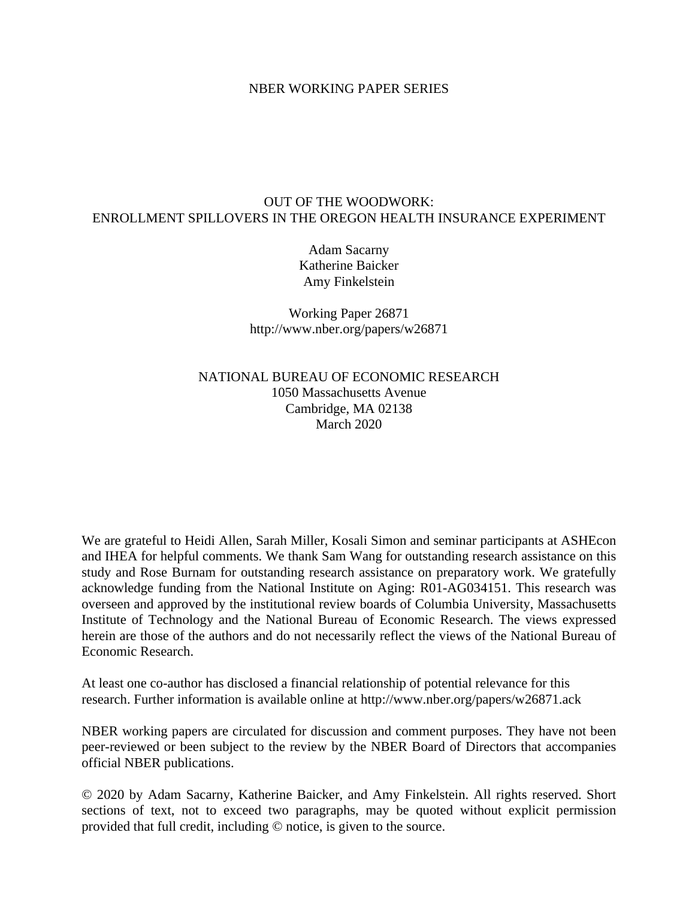## NBER WORKING PAPER SERIES

## OUT OF THE WOODWORK: ENROLLMENT SPILLOVERS IN THE OREGON HEALTH INSURANCE EXPERIMENT

Adam Sacarny Katherine Baicker Amy Finkelstein

Working Paper 26871 http://www.nber.org/papers/w26871

NATIONAL BUREAU OF ECONOMIC RESEARCH 1050 Massachusetts Avenue Cambridge, MA 02138 March 2020

We are grateful to Heidi Allen, Sarah Miller, Kosali Simon and seminar participants at ASHEcon and IHEA for helpful comments. We thank Sam Wang for outstanding research assistance on this study and Rose Burnam for outstanding research assistance on preparatory work. We gratefully acknowledge funding from the National Institute on Aging: R01-AG034151. This research was overseen and approved by the institutional review boards of Columbia University, Massachusetts Institute of Technology and the National Bureau of Economic Research. The views expressed herein are those of the authors and do not necessarily reflect the views of the National Bureau of Economic Research.

At least one co-author has disclosed a financial relationship of potential relevance for this research. Further information is available online at http://www.nber.org/papers/w26871.ack

NBER working papers are circulated for discussion and comment purposes. They have not been peer-reviewed or been subject to the review by the NBER Board of Directors that accompanies official NBER publications.

© 2020 by Adam Sacarny, Katherine Baicker, and Amy Finkelstein. All rights reserved. Short sections of text, not to exceed two paragraphs, may be quoted without explicit permission provided that full credit, including © notice, is given to the source.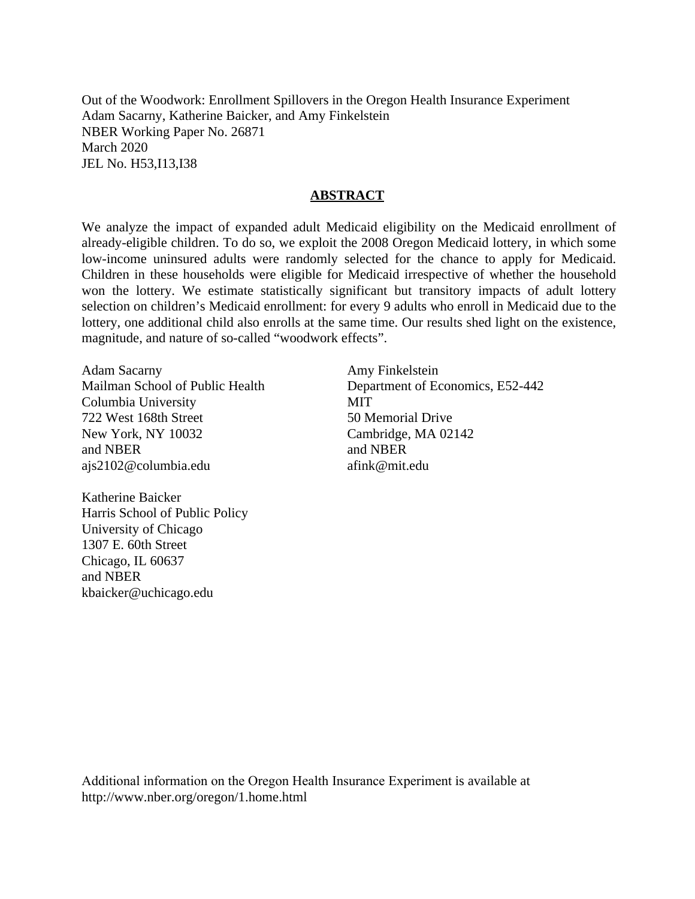Out of the Woodwork: Enrollment Spillovers in the Oregon Health Insurance Experiment Adam Sacarny, Katherine Baicker, and Amy Finkelstein NBER Working Paper No. 26871 March 2020 JEL No. H53,I13,I38

## **ABSTRACT**

We analyze the impact of expanded adult Medicaid eligibility on the Medicaid enrollment of already-eligible children. To do so, we exploit the 2008 Oregon Medicaid lottery, in which some low-income uninsured adults were randomly selected for the chance to apply for Medicaid. Children in these households were eligible for Medicaid irrespective of whether the household won the lottery. We estimate statistically significant but transitory impacts of adult lottery selection on children's Medicaid enrollment: for every 9 adults who enroll in Medicaid due to the lottery, one additional child also enrolls at the same time. Our results shed light on the existence, magnitude, and nature of so-called "woodwork effects".

Adam Sacarny Mailman School of Public Health Columbia University 722 West 168th Street New York, NY 10032 and NBER ajs2102@columbia.edu

Katherine Baicker Harris School of Public Policy University of Chicago 1307 E. 60th Street Chicago, IL 60637 and NBER kbaicker@uchicago.edu

Amy Finkelstein Department of Economics, E52-442 **MIT** 50 Memorial Drive Cambridge, MA 02142 and NBER afink@mit.edu

Additional information on the Oregon Health Insurance Experiment is available at http://www.nber.org/oregon/1.home.html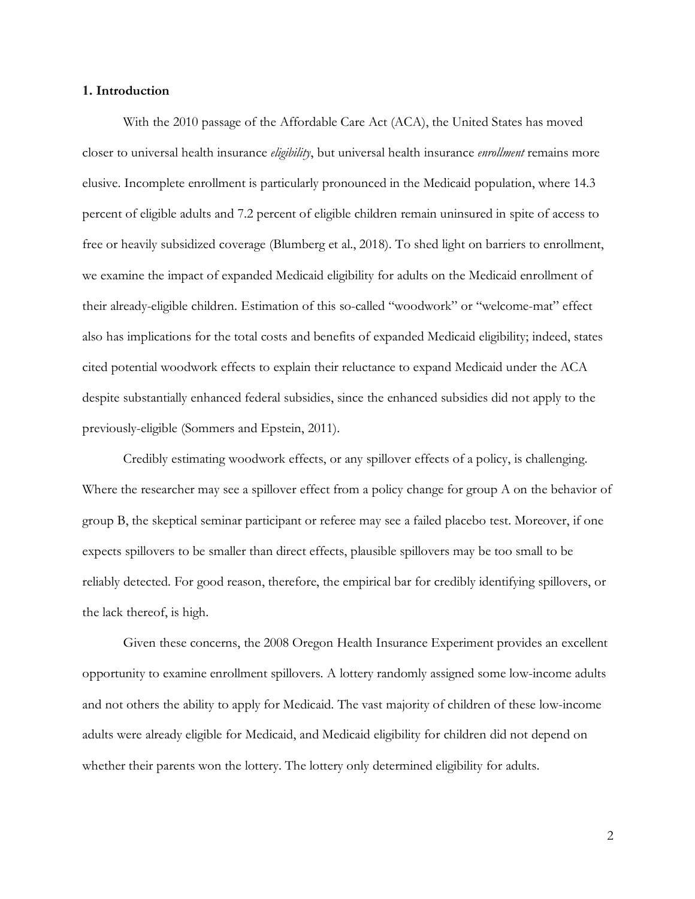#### **1. Introduction**

With the 2010 passage of the Affordable Care Act (ACA), the United States has moved closer to universal health insurance *eligibility*, but universal health insurance *enrollment* remains more elusive. Incomplete enrollment is particularly pronounced in the Medicaid population, where 14.3 percent of eligible adults and 7.2 percent of eligible children remain uninsured in spite of access to free or heavily subsidized coverage (Blumberg et al., 2018). To shed light on barriers to enrollment, we examine the impact of expanded Medicaid eligibility for adults on the Medicaid enrollment of their already-eligible children. Estimation of this so-called "woodwork" or "welcome-mat" effect also has implications for the total costs and benefits of expanded Medicaid eligibility; indeed, states cited potential woodwork effects to explain their reluctance to expand Medicaid under the ACA despite substantially enhanced federal subsidies, since the enhanced subsidies did not apply to the previously-eligible (Sommers and Epstein, 2011).

Credibly estimating woodwork effects, or any spillover effects of a policy, is challenging. Where the researcher may see a spillover effect from a policy change for group A on the behavior of group B, the skeptical seminar participant or referee may see a failed placebo test. Moreover, if one expects spillovers to be smaller than direct effects, plausible spillovers may be too small to be reliably detected. For good reason, therefore, the empirical bar for credibly identifying spillovers, or the lack thereof, is high.

Given these concerns, the 2008 Oregon Health Insurance Experiment provides an excellent opportunity to examine enrollment spillovers. A lottery randomly assigned some low-income adults and not others the ability to apply for Medicaid. The vast majority of children of these low-income adults were already eligible for Medicaid, and Medicaid eligibility for children did not depend on whether their parents won the lottery. The lottery only determined eligibility for adults.

2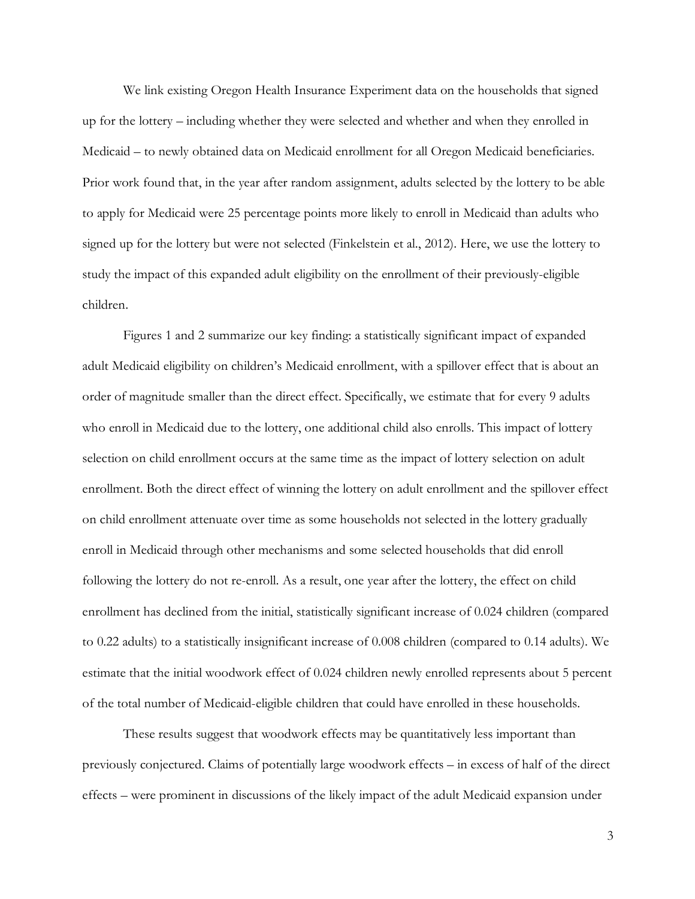We link existing Oregon Health Insurance Experiment data on the households that signed up for the lottery – including whether they were selected and whether and when they enrolled in Medicaid – to newly obtained data on Medicaid enrollment for all Oregon Medicaid beneficiaries. Prior work found that, in the year after random assignment, adults selected by the lottery to be able to apply for Medicaid were 25 percentage points more likely to enroll in Medicaid than adults who signed up for the lottery but were not selected (Finkelstein et al., 2012). Here, we use the lottery to study the impact of this expanded adult eligibility on the enrollment of their previously-eligible children.

Figures 1 and 2 summarize our key finding: a statistically significant impact of expanded adult Medicaid eligibility on children's Medicaid enrollment, with a spillover effect that is about an order of magnitude smaller than the direct effect. Specifically, we estimate that for every 9 adults who enroll in Medicaid due to the lottery, one additional child also enrolls. This impact of lottery selection on child enrollment occurs at the same time as the impact of lottery selection on adult enrollment. Both the direct effect of winning the lottery on adult enrollment and the spillover effect on child enrollment attenuate over time as some households not selected in the lottery gradually enroll in Medicaid through other mechanisms and some selected households that did enroll following the lottery do not re-enroll. As a result, one year after the lottery, the effect on child enrollment has declined from the initial, statistically significant increase of 0.024 children (compared to 0.22 adults) to a statistically insignificant increase of 0.008 children (compared to 0.14 adults). We estimate that the initial woodwork effect of 0.024 children newly enrolled represents about 5 percent of the total number of Medicaid-eligible children that could have enrolled in these households.

These results suggest that woodwork effects may be quantitatively less important than previously conjectured. Claims of potentially large woodwork effects – in excess of half of the direct effects – were prominent in discussions of the likely impact of the adult Medicaid expansion under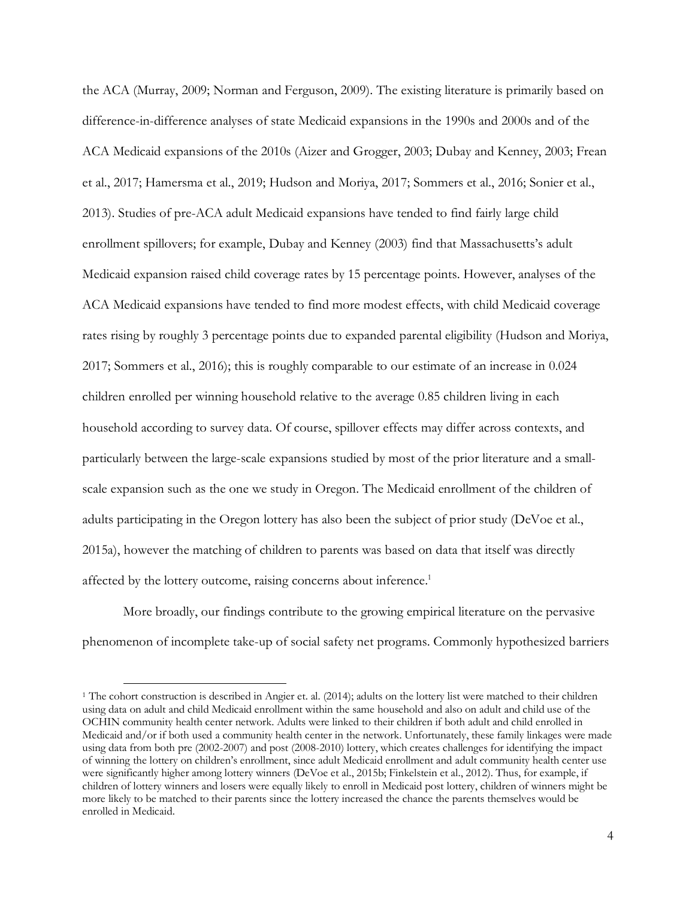the ACA (Murray, 2009; Norman and Ferguson, 2009). The existing literature is primarily based on difference-in-difference analyses of state Medicaid expansions in the 1990s and 2000s and of the ACA Medicaid expansions of the 2010s (Aizer and Grogger, 2003; Dubay and Kenney, 2003; Frean et al., 2017; Hamersma et al., 2019; Hudson and Moriya, 2017; Sommers et al., 2016; Sonier et al., 2013). Studies of pre-ACA adult Medicaid expansions have tended to find fairly large child enrollment spillovers; for example, Dubay and Kenney (2003) find that Massachusetts's adult Medicaid expansion raised child coverage rates by 15 percentage points. However, analyses of the ACA Medicaid expansions have tended to find more modest effects, with child Medicaid coverage rates rising by roughly 3 percentage points due to expanded parental eligibility (Hudson and Moriya, 2017; Sommers et al., 2016); this is roughly comparable to our estimate of an increase in 0.024 children enrolled per winning household relative to the average 0.85 children living in each household according to survey data. Of course, spillover effects may differ across contexts, and particularly between the large-scale expansions studied by most of the prior literature and a smallscale expansion such as the one we study in Oregon. The Medicaid enrollment of the children of adults participating in the Oregon lottery has also been the subject of prior study (DeVoe et al., 2015a), however the matching of children to parents was based on data that itself was directly affected by the lottery outcome, raising concerns about inference.<sup>1</sup>

More broadly, our findings contribute to the growing empirical literature on the pervasive phenomenon of incomplete take-up of social safety net programs. Commonly hypothesized barriers

 <sup>1</sup> The cohort construction is described in Angier et. al. (2014); adults on the lottery list were matched to their children using data on adult and child Medicaid enrollment within the same household and also on adult and child use of the OCHIN community health center network. Adults were linked to their children if both adult and child enrolled in Medicaid and/or if both used a community health center in the network. Unfortunately, these family linkages were made using data from both pre (2002-2007) and post (2008-2010) lottery, which creates challenges for identifying the impact of winning the lottery on children's enrollment, since adult Medicaid enrollment and adult community health center use were significantly higher among lottery winners (DeVoe et al., 2015b; Finkelstein et al., 2012). Thus, for example, if children of lottery winners and losers were equally likely to enroll in Medicaid post lottery, children of winners might be more likely to be matched to their parents since the lottery increased the chance the parents themselves would be enrolled in Medicaid.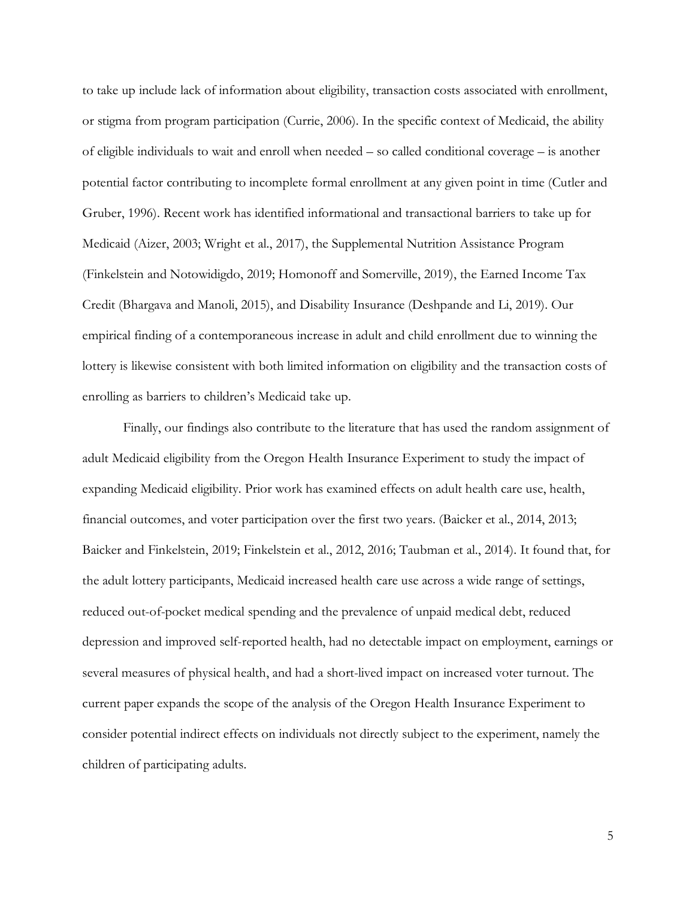to take up include lack of information about eligibility, transaction costs associated with enrollment, or stigma from program participation (Currie, 2006). In the specific context of Medicaid, the ability of eligible individuals to wait and enroll when needed – so called conditional coverage – is another potential factor contributing to incomplete formal enrollment at any given point in time (Cutler and Gruber, 1996). Recent work has identified informational and transactional barriers to take up for Medicaid (Aizer, 2003; Wright et al., 2017), the Supplemental Nutrition Assistance Program (Finkelstein and Notowidigdo, 2019; Homonoff and Somerville, 2019), the Earned Income Tax Credit (Bhargava and Manoli, 2015), and Disability Insurance (Deshpande and Li, 2019). Our empirical finding of a contemporaneous increase in adult and child enrollment due to winning the lottery is likewise consistent with both limited information on eligibility and the transaction costs of enrolling as barriers to children's Medicaid take up.

Finally, our findings also contribute to the literature that has used the random assignment of adult Medicaid eligibility from the Oregon Health Insurance Experiment to study the impact of expanding Medicaid eligibility. Prior work has examined effects on adult health care use, health, financial outcomes, and voter participation over the first two years. (Baicker et al., 2014, 2013; Baicker and Finkelstein, 2019; Finkelstein et al., 2012, 2016; Taubman et al., 2014). It found that, for the adult lottery participants, Medicaid increased health care use across a wide range of settings, reduced out-of-pocket medical spending and the prevalence of unpaid medical debt, reduced depression and improved self-reported health, had no detectable impact on employment, earnings or several measures of physical health, and had a short-lived impact on increased voter turnout. The current paper expands the scope of the analysis of the Oregon Health Insurance Experiment to consider potential indirect effects on individuals not directly subject to the experiment, namely the children of participating adults.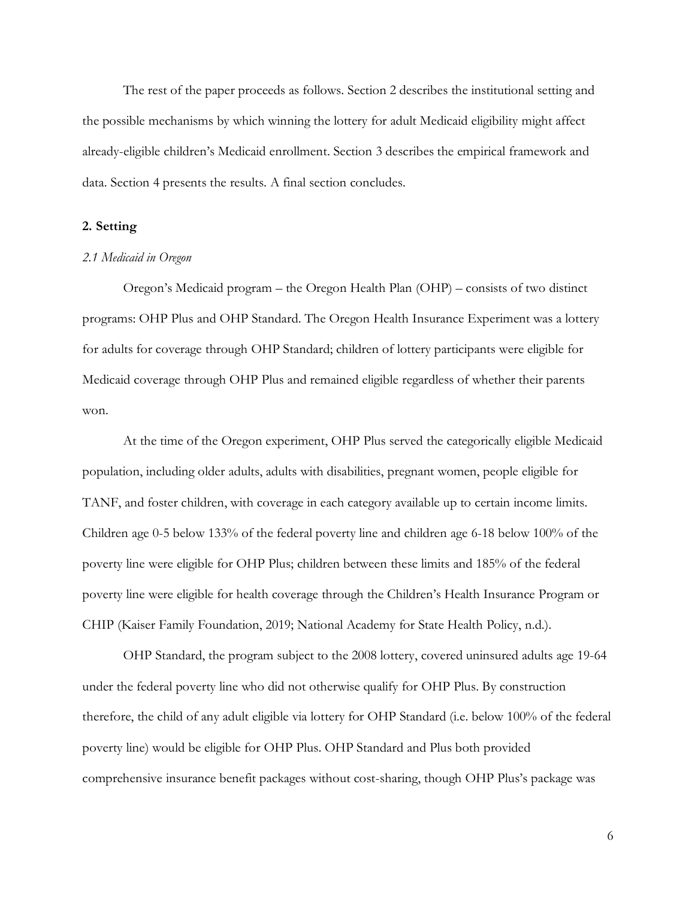The rest of the paper proceeds as follows. Section 2 describes the institutional setting and the possible mechanisms by which winning the lottery for adult Medicaid eligibility might affect already-eligible children's Medicaid enrollment. Section 3 describes the empirical framework and data. Section 4 presents the results. A final section concludes.

## **2. Setting**

#### *2.1 Medicaid in Oregon*

Oregon's Medicaid program – the Oregon Health Plan (OHP) – consists of two distinct programs: OHP Plus and OHP Standard. The Oregon Health Insurance Experiment was a lottery for adults for coverage through OHP Standard; children of lottery participants were eligible for Medicaid coverage through OHP Plus and remained eligible regardless of whether their parents won.

At the time of the Oregon experiment, OHP Plus served the categorically eligible Medicaid population, including older adults, adults with disabilities, pregnant women, people eligible for TANF, and foster children, with coverage in each category available up to certain income limits. Children age 0-5 below 133% of the federal poverty line and children age 6-18 below 100% of the poverty line were eligible for OHP Plus; children between these limits and 185% of the federal poverty line were eligible for health coverage through the Children's Health Insurance Program or CHIP (Kaiser Family Foundation, 2019; National Academy for State Health Policy, n.d.).

OHP Standard, the program subject to the 2008 lottery, covered uninsured adults age 19-64 under the federal poverty line who did not otherwise qualify for OHP Plus. By construction therefore, the child of any adult eligible via lottery for OHP Standard (i.e. below 100% of the federal poverty line) would be eligible for OHP Plus. OHP Standard and Plus both provided comprehensive insurance benefit packages without cost-sharing, though OHP Plus's package was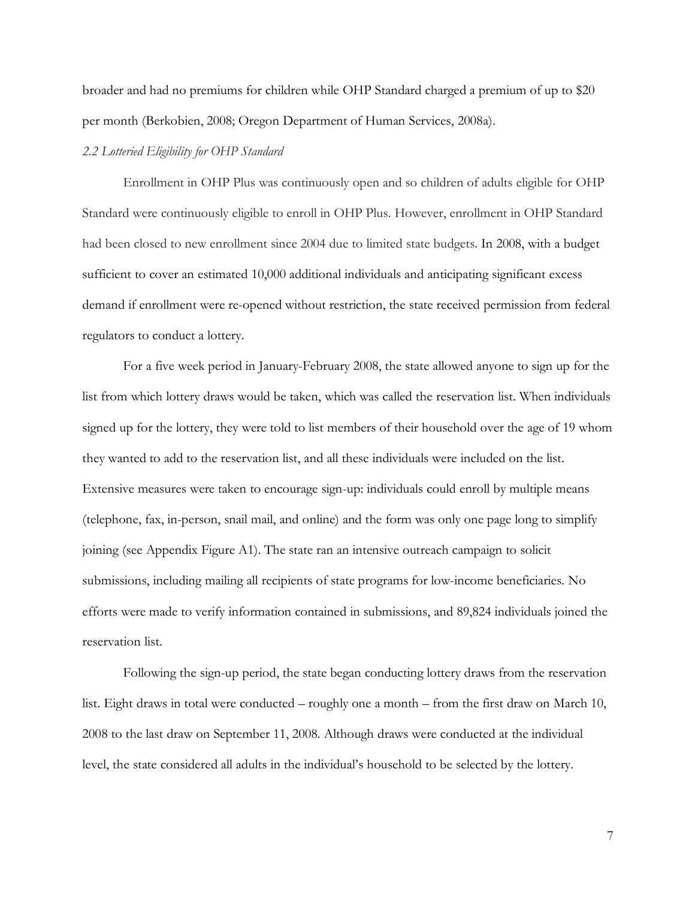broader and had no premiums for children while OHP Standard charged a premium of up to \$20 per month (Berkobien, 2008; Oregon Department of Human Services, 2008a).

## *2.2 Lotteried Eligibility for OHP Standard*

Enrollment in OHP Plus was continuously open and so children of adults eligible for OHP Standard were continuously eligible to enroll in OHP Plus. However, enrollment in OHP Standard had been closed to new enrollment since 2004 due to limited state budgets. In 2008, with a budget sufficient to cover an estimated 10,000 additional individuals and anticipating significant excess demand if enrollment were re-opened without restriction, the state received permission from federal regulators to conduct a lottery.

For a five week period in January-February 2008, the state allowed anyone to sign up for the list from which lottery draws would be taken, which was called the reservation list. When individuals signed up for the lottery, they were told to list members of their household over the age of 19 whom they wanted to add to the reservation list, and all these individuals were included on the list. Extensive measures were taken to encourage sign-up: individuals could enroll by multiple means (telephone, fax, in-person, snail mail, and online) and the form was only one page long to simplify joining (see Appendix Figure A1). The state ran an intensive outreach campaign to solicit submissions, including mailing all recipients of state programs for low-income beneficiaries. No efforts were made to verify information contained in submissions, and 89,824 individuals joined the reservation list.

Following the sign-up period, the state began conducting lottery draws from the reservation list. Eight draws in total were conducted – roughly one a month – from the first draw on March 10, 2008 to the last draw on September 11, 2008. Although draws were conducted at the individual level, the state considered all adults in the individual's household to be selected by the lottery.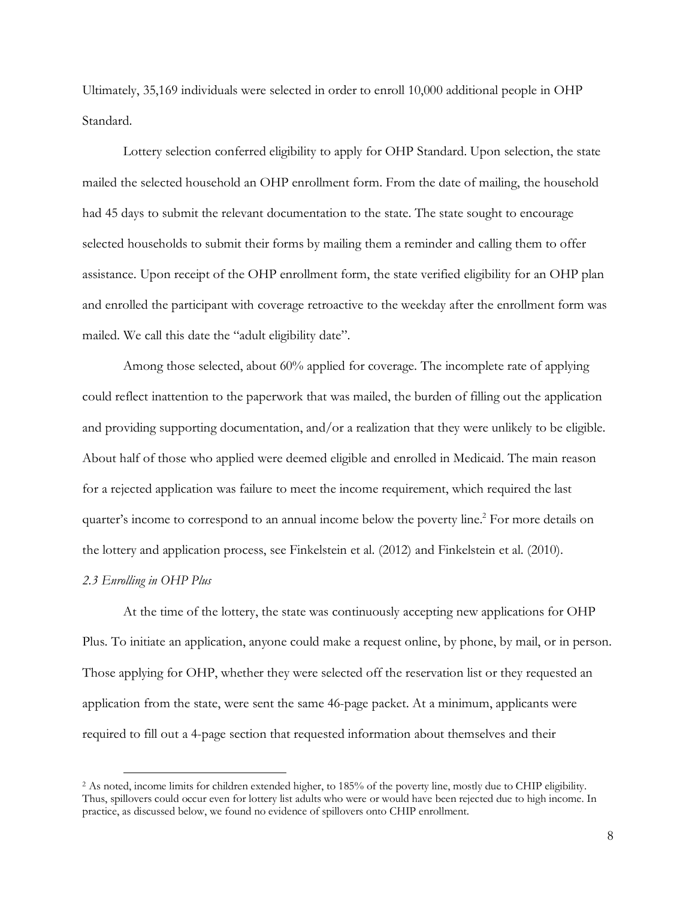Ultimately, 35,169 individuals were selected in order to enroll 10,000 additional people in OHP Standard.

Lottery selection conferred eligibility to apply for OHP Standard. Upon selection, the state mailed the selected household an OHP enrollment form. From the date of mailing, the household had 45 days to submit the relevant documentation to the state. The state sought to encourage selected households to submit their forms by mailing them a reminder and calling them to offer assistance. Upon receipt of the OHP enrollment form, the state verified eligibility for an OHP plan and enrolled the participant with coverage retroactive to the weekday after the enrollment form was mailed. We call this date the "adult eligibility date".

Among those selected, about 60% applied for coverage. The incomplete rate of applying could reflect inattention to the paperwork that was mailed, the burden of filling out the application and providing supporting documentation, and/or a realization that they were unlikely to be eligible. About half of those who applied were deemed eligible and enrolled in Medicaid. The main reason for a rejected application was failure to meet the income requirement, which required the last quarter's income to correspond to an annual income below the poverty line.<sup>2</sup> For more details on the lottery and application process, see Finkelstein et al. (2012) and Finkelstein et al. (2010).

## *2.3 Enrolling in OHP Plus*

At the time of the lottery, the state was continuously accepting new applications for OHP Plus. To initiate an application, anyone could make a request online, by phone, by mail, or in person. Those applying for OHP, whether they were selected off the reservation list or they requested an application from the state, were sent the same 46-page packet. At a minimum, applicants were required to fill out a 4-page section that requested information about themselves and their

 <sup>2</sup> As noted, income limits for children extended higher, to 185% of the poverty line, mostly due to CHIP eligibility. Thus, spillovers could occur even for lottery list adults who were or would have been rejected due to high income. In practice, as discussed below, we found no evidence of spillovers onto CHIP enrollment.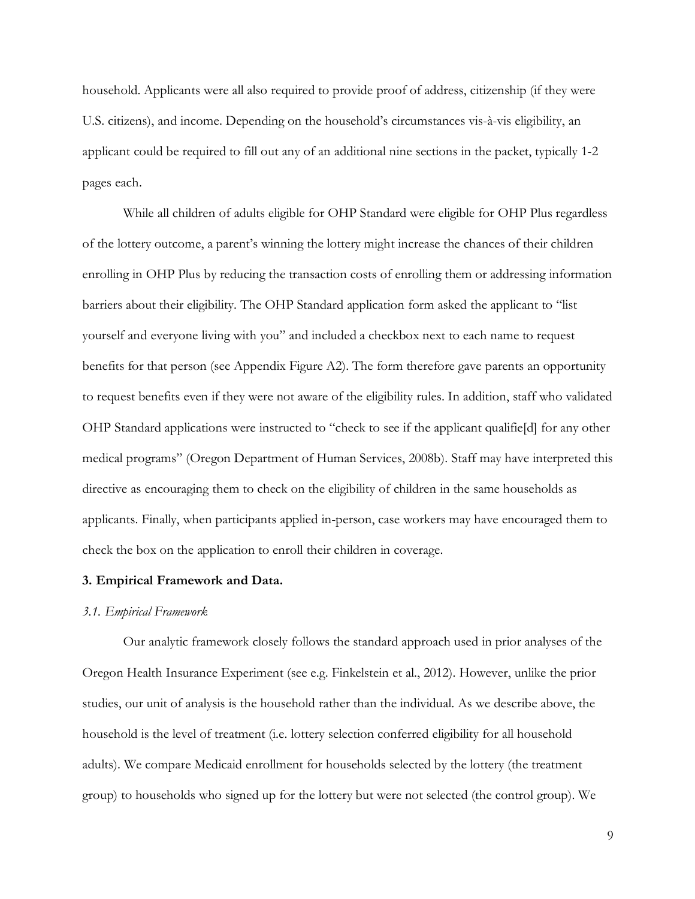household. Applicants were all also required to provide proof of address, citizenship (if they were U.S. citizens), and income. Depending on the household's circumstances vis-à-vis eligibility, an applicant could be required to fill out any of an additional nine sections in the packet, typically 1-2 pages each.

While all children of adults eligible for OHP Standard were eligible for OHP Plus regardless of the lottery outcome, a parent's winning the lottery might increase the chances of their children enrolling in OHP Plus by reducing the transaction costs of enrolling them or addressing information barriers about their eligibility. The OHP Standard application form asked the applicant to "list yourself and everyone living with you" and included a checkbox next to each name to request benefits for that person (see Appendix Figure A2). The form therefore gave parents an opportunity to request benefits even if they were not aware of the eligibility rules. In addition, staff who validated OHP Standard applications were instructed to "check to see if the applicant qualifie[d] for any other medical programs" (Oregon Department of Human Services, 2008b). Staff may have interpreted this directive as encouraging them to check on the eligibility of children in the same households as applicants. Finally, when participants applied in-person, case workers may have encouraged them to check the box on the application to enroll their children in coverage.

#### **3. Empirical Framework and Data.**

#### *3.1. Empirical Framework*

Our analytic framework closely follows the standard approach used in prior analyses of the Oregon Health Insurance Experiment (see e.g. Finkelstein et al., 2012). However, unlike the prior studies, our unit of analysis is the household rather than the individual. As we describe above, the household is the level of treatment (i.e. lottery selection conferred eligibility for all household adults). We compare Medicaid enrollment for households selected by the lottery (the treatment group) to households who signed up for the lottery but were not selected (the control group). We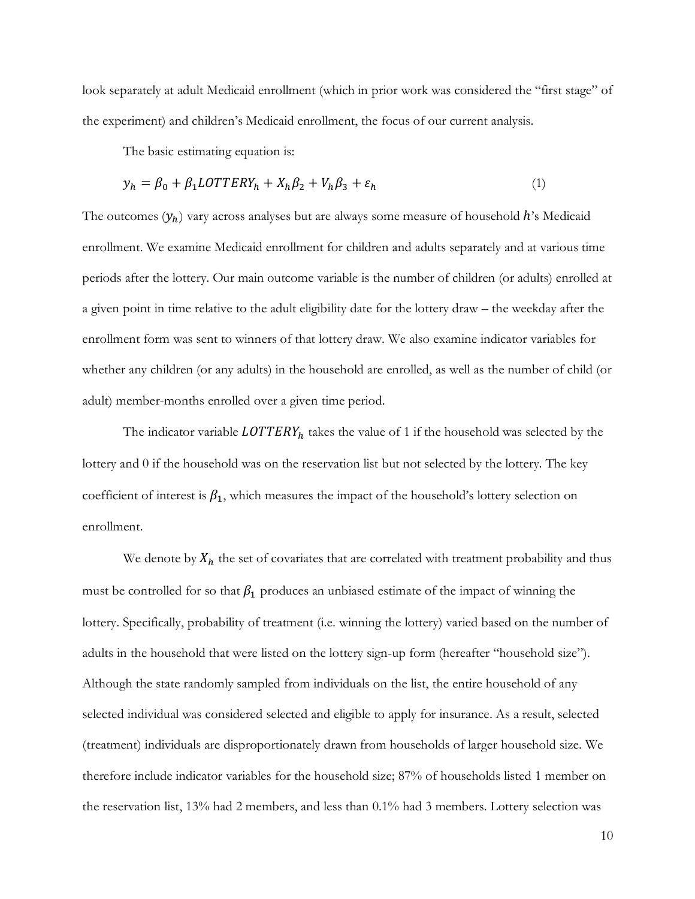look separately at adult Medicaid enrollment (which in prior work was considered the "first stage" of the experiment) and children's Medicaid enrollment, the focus of our current analysis.

The basic estimating equation is:

$$
y_h = \beta_0 + \beta_1 LOTTERY_h + X_h \beta_2 + V_h \beta_3 + \varepsilon_h \tag{1}
$$

The outcomes  $(y_h)$  vary across analyses but are always some measure of household  $h$ 's Medicaid enrollment. We examine Medicaid enrollment for children and adults separately and at various time periods after the lottery. Our main outcome variable is the number of children (or adults) enrolled at a given point in time relative to the adult eligibility date for the lottery draw – the weekday after the enrollment form was sent to winners of that lottery draw. We also examine indicator variables for whether any children (or any adults) in the household are enrolled, as well as the number of child (or adult) member-months enrolled over a given time period.

The indicator variable  $LOTTERY_h$  takes the value of 1 if the household was selected by the lottery and 0 if the household was on the reservation list but not selected by the lottery. The key coefficient of interest is  $\beta_1$ , which measures the impact of the household's lottery selection on enrollment.

We denote by  $X_h$  the set of covariates that are correlated with treatment probability and thus must be controlled for so that  $\beta_1$  produces an unbiased estimate of the impact of winning the lottery. Specifically, probability of treatment (i.e. winning the lottery) varied based on the number of adults in the household that were listed on the lottery sign-up form (hereafter "household size"). Although the state randomly sampled from individuals on the list, the entire household of any selected individual was considered selected and eligible to apply for insurance. As a result, selected (treatment) individuals are disproportionately drawn from households of larger household size. We therefore include indicator variables for the household size; 87% of households listed 1 member on the reservation list, 13% had 2 members, and less than 0.1% had 3 members. Lottery selection was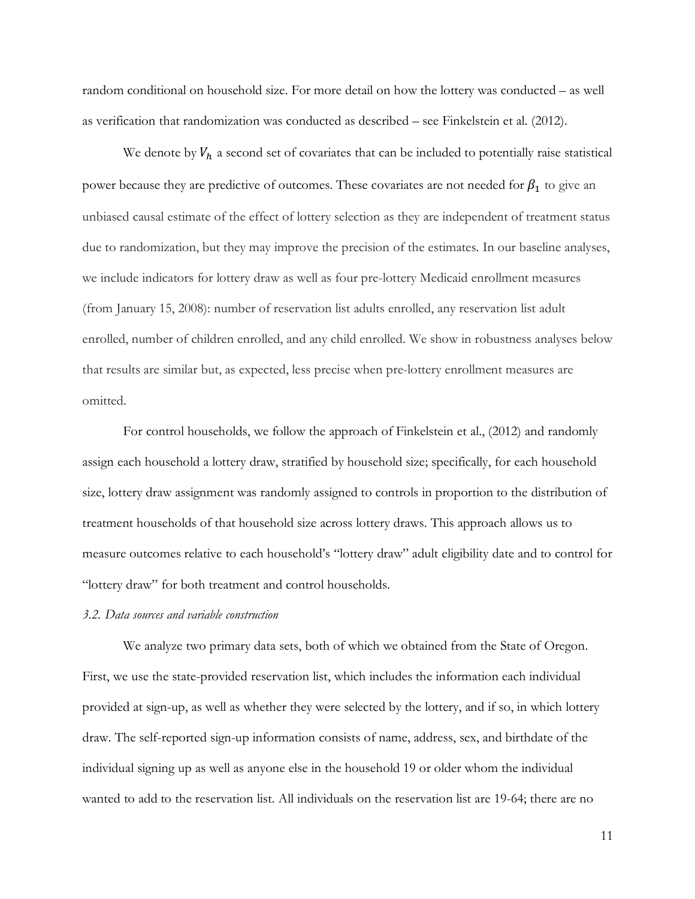random conditional on household size. For more detail on how the lottery was conducted – as well as verification that randomization was conducted as described – see Finkelstein et al. (2012).

We denote by  $V_h$  a second set of covariates that can be included to potentially raise statistical power because they are predictive of outcomes. These covariates are not needed for  $\beta_1$  to give an unbiased causal estimate of the effect of lottery selection as they are independent of treatment status due to randomization, but they may improve the precision of the estimates. In our baseline analyses, we include indicators for lottery draw as well as four pre-lottery Medicaid enrollment measures (from January 15, 2008): number of reservation list adults enrolled, any reservation list adult enrolled, number of children enrolled, and any child enrolled. We show in robustness analyses below that results are similar but, as expected, less precise when pre-lottery enrollment measures are omitted.

For control households, we follow the approach of Finkelstein et al., (2012) and randomly assign each household a lottery draw, stratified by household size; specifically, for each household size, lottery draw assignment was randomly assigned to controls in proportion to the distribution of treatment households of that household size across lottery draws. This approach allows us to measure outcomes relative to each household's "lottery draw" adult eligibility date and to control for "lottery draw" for both treatment and control households.

#### *3.2. Data sources and variable construction*

We analyze two primary data sets, both of which we obtained from the State of Oregon. First, we use the state-provided reservation list, which includes the information each individual provided at sign-up, as well as whether they were selected by the lottery, and if so, in which lottery draw. The self-reported sign-up information consists of name, address, sex, and birthdate of the individual signing up as well as anyone else in the household 19 or older whom the individual wanted to add to the reservation list. All individuals on the reservation list are 19-64; there are no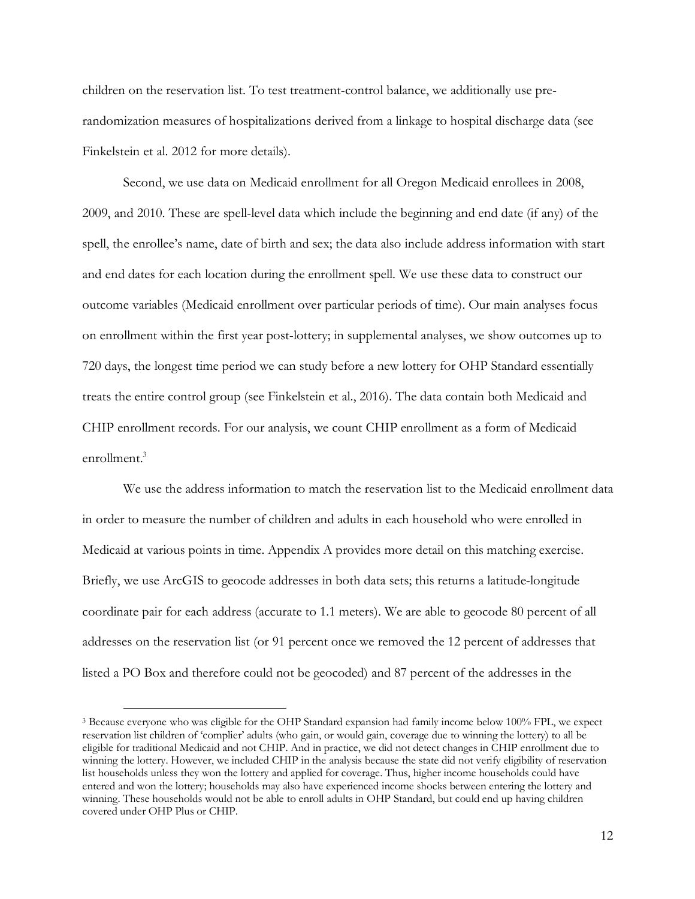children on the reservation list. To test treatment-control balance, we additionally use prerandomization measures of hospitalizations derived from a linkage to hospital discharge data (see Finkelstein et al. 2012 for more details).

Second, we use data on Medicaid enrollment for all Oregon Medicaid enrollees in 2008, 2009, and 2010. These are spell-level data which include the beginning and end date (if any) of the spell, the enrollee's name, date of birth and sex; the data also include address information with start and end dates for each location during the enrollment spell. We use these data to construct our outcome variables (Medicaid enrollment over particular periods of time). Our main analyses focus on enrollment within the first year post-lottery; in supplemental analyses, we show outcomes up to 720 days, the longest time period we can study before a new lottery for OHP Standard essentially treats the entire control group (see Finkelstein et al., 2016). The data contain both Medicaid and CHIP enrollment records. For our analysis, we count CHIP enrollment as a form of Medicaid enrollment.3

We use the address information to match the reservation list to the Medicaid enrollment data in order to measure the number of children and adults in each household who were enrolled in Medicaid at various points in time. Appendix A provides more detail on this matching exercise. Briefly, we use ArcGIS to geocode addresses in both data sets; this returns a latitude-longitude coordinate pair for each address (accurate to 1.1 meters). We are able to geocode 80 percent of all addresses on the reservation list (or 91 percent once we removed the 12 percent of addresses that listed a PO Box and therefore could not be geocoded) and 87 percent of the addresses in the

 <sup>3</sup> Because everyone who was eligible for the OHP Standard expansion had family income below 100% FPL, we expect reservation list children of 'complier' adults (who gain, or would gain, coverage due to winning the lottery) to all be eligible for traditional Medicaid and not CHIP. And in practice, we did not detect changes in CHIP enrollment due to winning the lottery. However, we included CHIP in the analysis because the state did not verify eligibility of reservation list households unless they won the lottery and applied for coverage. Thus, higher income households could have entered and won the lottery; households may also have experienced income shocks between entering the lottery and winning. These households would not be able to enroll adults in OHP Standard, but could end up having children covered under OHP Plus or CHIP.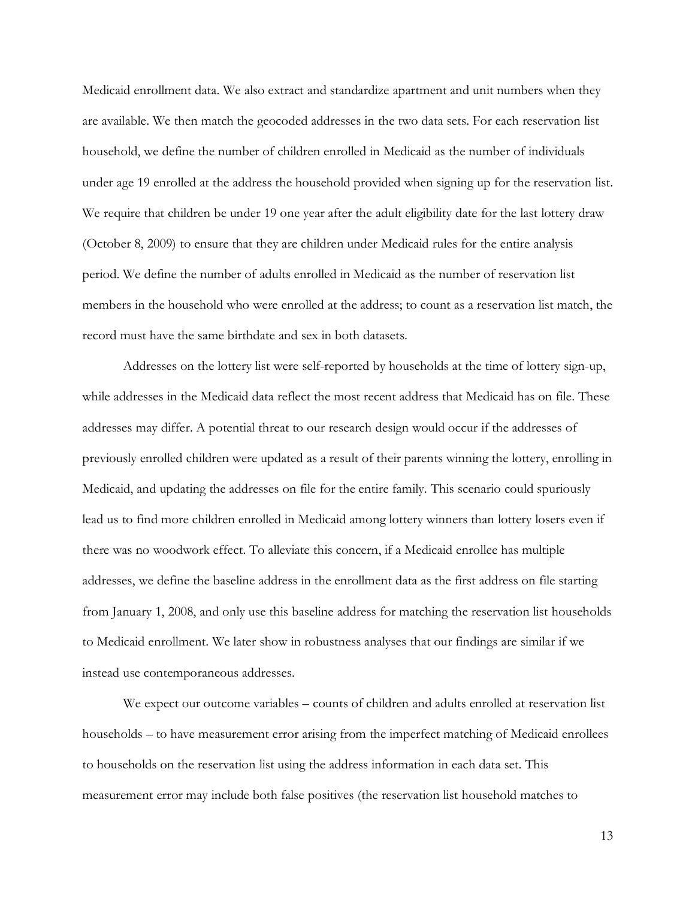Medicaid enrollment data. We also extract and standardize apartment and unit numbers when they are available. We then match the geocoded addresses in the two data sets. For each reservation list household, we define the number of children enrolled in Medicaid as the number of individuals under age 19 enrolled at the address the household provided when signing up for the reservation list. We require that children be under 19 one year after the adult eligibility date for the last lottery draw (October 8, 2009) to ensure that they are children under Medicaid rules for the entire analysis period. We define the number of adults enrolled in Medicaid as the number of reservation list members in the household who were enrolled at the address; to count as a reservation list match, the record must have the same birthdate and sex in both datasets.

Addresses on the lottery list were self-reported by households at the time of lottery sign-up, while addresses in the Medicaid data reflect the most recent address that Medicaid has on file. These addresses may differ. A potential threat to our research design would occur if the addresses of previously enrolled children were updated as a result of their parents winning the lottery, enrolling in Medicaid, and updating the addresses on file for the entire family. This scenario could spuriously lead us to find more children enrolled in Medicaid among lottery winners than lottery losers even if there was no woodwork effect. To alleviate this concern, if a Medicaid enrollee has multiple addresses, we define the baseline address in the enrollment data as the first address on file starting from January 1, 2008, and only use this baseline address for matching the reservation list households to Medicaid enrollment. We later show in robustness analyses that our findings are similar if we instead use contemporaneous addresses.

We expect our outcome variables – counts of children and adults enrolled at reservation list households – to have measurement error arising from the imperfect matching of Medicaid enrollees to households on the reservation list using the address information in each data set. This measurement error may include both false positives (the reservation list household matches to

13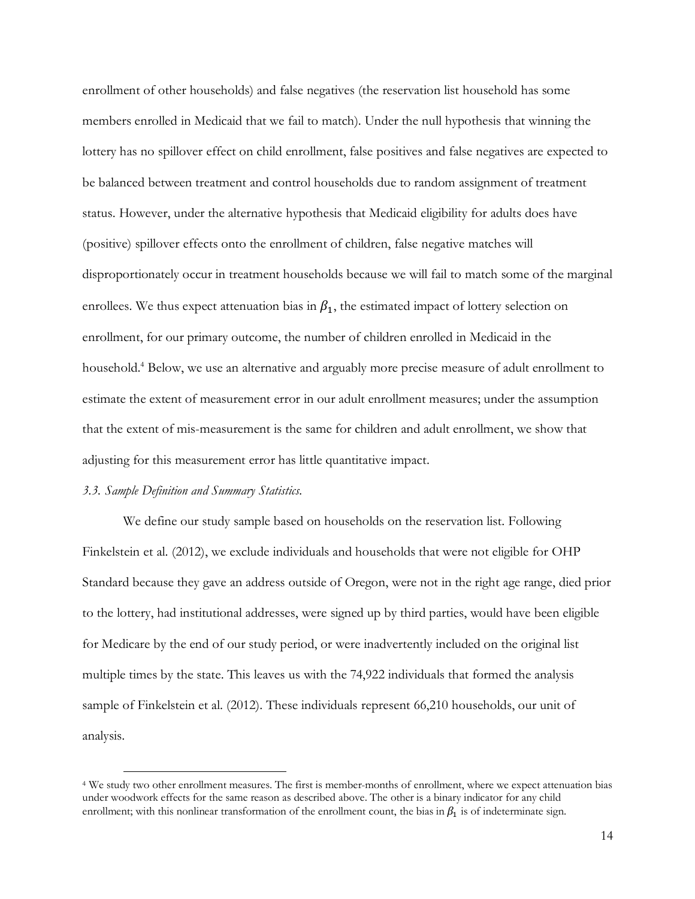enrollment of other households) and false negatives (the reservation list household has some members enrolled in Medicaid that we fail to match). Under the null hypothesis that winning the lottery has no spillover effect on child enrollment, false positives and false negatives are expected to be balanced between treatment and control households due to random assignment of treatment status. However, under the alternative hypothesis that Medicaid eligibility for adults does have (positive) spillover effects onto the enrollment of children, false negative matches will disproportionately occur in treatment households because we will fail to match some of the marginal enrollees. We thus expect attenuation bias in  $\beta_1$ , the estimated impact of lottery selection on enrollment, for our primary outcome, the number of children enrolled in Medicaid in the household.<sup>4</sup> Below, we use an alternative and arguably more precise measure of adult enrollment to estimate the extent of measurement error in our adult enrollment measures; under the assumption that the extent of mis-measurement is the same for children and adult enrollment, we show that adjusting for this measurement error has little quantitative impact.

### *3.3. Sample Definition and Summary Statistics.*

We define our study sample based on households on the reservation list. Following Finkelstein et al. (2012), we exclude individuals and households that were not eligible for OHP Standard because they gave an address outside of Oregon, were not in the right age range, died prior to the lottery, had institutional addresses, were signed up by third parties, would have been eligible for Medicare by the end of our study period, or were inadvertently included on the original list multiple times by the state. This leaves us with the 74,922 individuals that formed the analysis sample of Finkelstein et al. (2012). These individuals represent 66,210 households, our unit of analysis.

 <sup>4</sup> We study two other enrollment measures. The first is member-months of enrollment, where we expect attenuation bias under woodwork effects for the same reason as described above. The other is a binary indicator for any child enrollment; with this nonlinear transformation of the enrollment count, the bias in  $\beta_1$  is of indeterminate sign.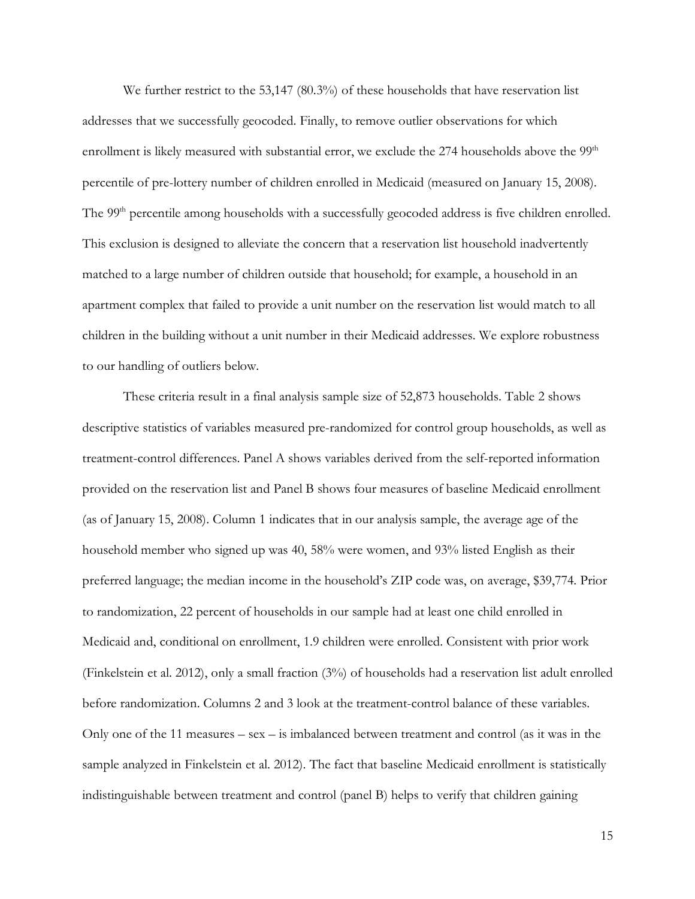We further restrict to the 53,147 (80.3%) of these households that have reservation list addresses that we successfully geocoded. Finally, to remove outlier observations for which enrollment is likely measured with substantial error, we exclude the  $274$  households above the  $99<sup>th</sup>$ percentile of pre-lottery number of children enrolled in Medicaid (measured on January 15, 2008). The 99<sup>th</sup> percentile among households with a successfully geocoded address is five children enrolled. This exclusion is designed to alleviate the concern that a reservation list household inadvertently matched to a large number of children outside that household; for example, a household in an apartment complex that failed to provide a unit number on the reservation list would match to all children in the building without a unit number in their Medicaid addresses. We explore robustness to our handling of outliers below.

These criteria result in a final analysis sample size of 52,873 households. Table 2 shows descriptive statistics of variables measured pre-randomized for control group households, as well as treatment-control differences. Panel A shows variables derived from the self-reported information provided on the reservation list and Panel B shows four measures of baseline Medicaid enrollment (as of January 15, 2008). Column 1 indicates that in our analysis sample, the average age of the household member who signed up was 40, 58% were women, and 93% listed English as their preferred language; the median income in the household's ZIP code was, on average, \$39,774. Prior to randomization, 22 percent of households in our sample had at least one child enrolled in Medicaid and, conditional on enrollment, 1.9 children were enrolled. Consistent with prior work (Finkelstein et al. 2012), only a small fraction (3%) of households had a reservation list adult enrolled before randomization. Columns 2 and 3 look at the treatment-control balance of these variables. Only one of the 11 measures – sex – is imbalanced between treatment and control (as it was in the sample analyzed in Finkelstein et al. 2012). The fact that baseline Medicaid enrollment is statistically indistinguishable between treatment and control (panel B) helps to verify that children gaining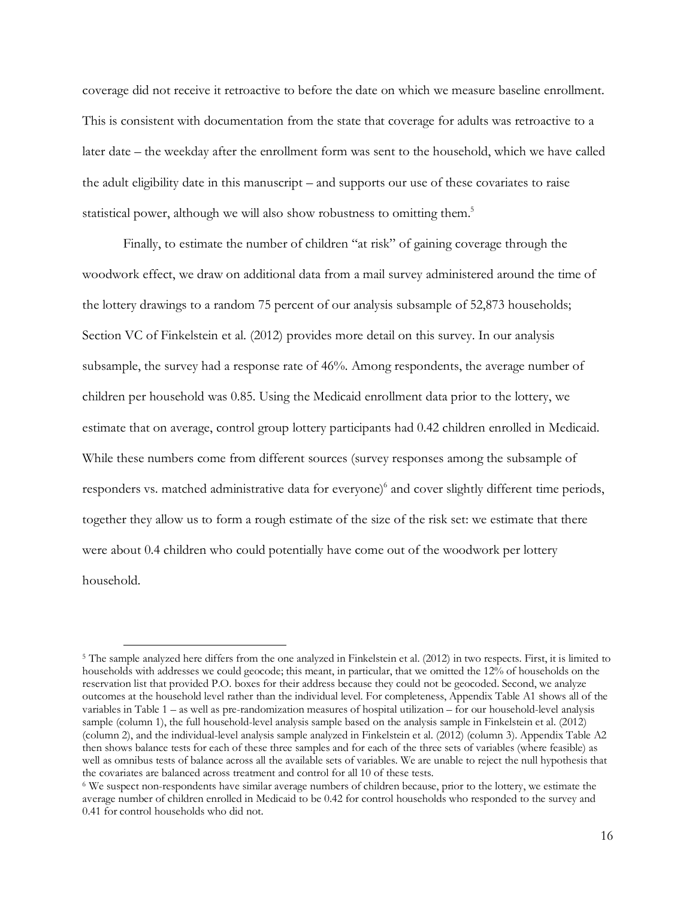coverage did not receive it retroactive to before the date on which we measure baseline enrollment. This is consistent with documentation from the state that coverage for adults was retroactive to a later date – the weekday after the enrollment form was sent to the household, which we have called the adult eligibility date in this manuscript – and supports our use of these covariates to raise statistical power, although we will also show robustness to omitting them.<sup>5</sup>

Finally, to estimate the number of children "at risk" of gaining coverage through the woodwork effect, we draw on additional data from a mail survey administered around the time of the lottery drawings to a random 75 percent of our analysis subsample of 52,873 households; Section VC of Finkelstein et al. (2012) provides more detail on this survey. In our analysis subsample, the survey had a response rate of 46%. Among respondents, the average number of children per household was 0.85. Using the Medicaid enrollment data prior to the lottery, we estimate that on average, control group lottery participants had 0.42 children enrolled in Medicaid. While these numbers come from different sources (survey responses among the subsample of responders vs. matched administrative data for everyone)<sup>6</sup> and cover slightly different time periods, together they allow us to form a rough estimate of the size of the risk set: we estimate that there were about 0.4 children who could potentially have come out of the woodwork per lottery household.

<sup>&</sup>lt;sup>5</sup> The sample analyzed here differs from the one analyzed in Finkelstein et al. (2012) in two respects. First, it is limited to households with addresses we could geocode; this meant, in particular, that we omitted the 12% of households on the reservation list that provided P.O. boxes for their address because they could not be geocoded. Second, we analyze outcomes at the household level rather than the individual level. For completeness, Appendix Table A1 shows all of the variables in Table 1 – as well as pre-randomization measures of hospital utilization – for our household-level analysis sample (column 1), the full household-level analysis sample based on the analysis sample in Finkelstein et al. (2012) (column 2), and the individual-level analysis sample analyzed in Finkelstein et al. (2012) (column 3). Appendix Table A2 then shows balance tests for each of these three samples and for each of the three sets of variables (where feasible) as well as omnibus tests of balance across all the available sets of variables. We are unable to reject the null hypothesis that the covariates are balanced across treatment and control for all 10 of these tests.

<sup>6</sup> We suspect non-respondents have similar average numbers of children because, prior to the lottery, we estimate the average number of children enrolled in Medicaid to be 0.42 for control households who responded to the survey and 0.41 for control households who did not.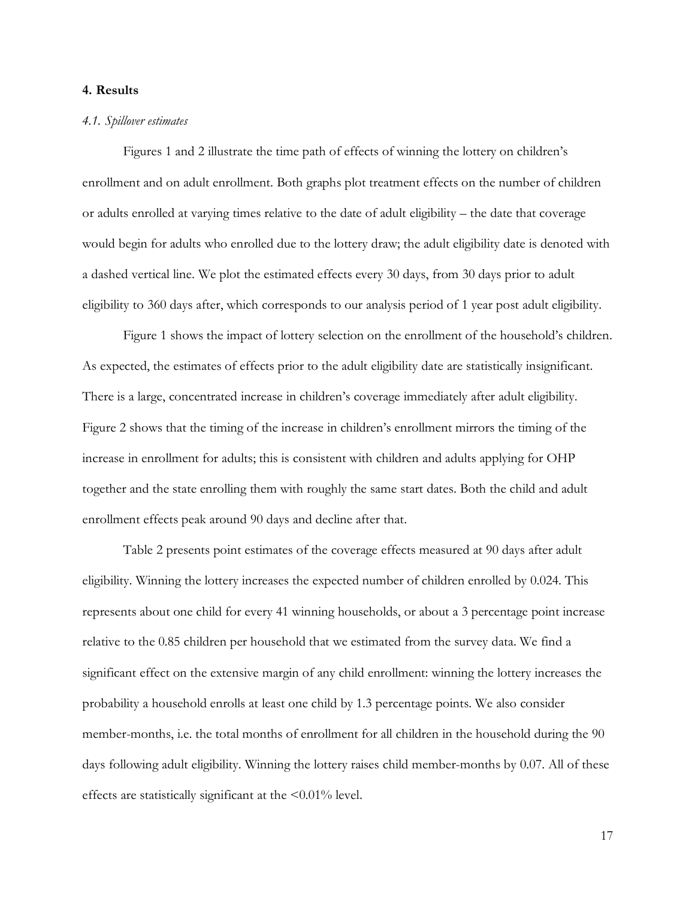#### **4. Results**

#### *4.1. Spillover estimates*

Figures 1 and 2 illustrate the time path of effects of winning the lottery on children's enrollment and on adult enrollment. Both graphs plot treatment effects on the number of children or adults enrolled at varying times relative to the date of adult eligibility – the date that coverage would begin for adults who enrolled due to the lottery draw; the adult eligibility date is denoted with a dashed vertical line. We plot the estimated effects every 30 days, from 30 days prior to adult eligibility to 360 days after, which corresponds to our analysis period of 1 year post adult eligibility.

Figure 1 shows the impact of lottery selection on the enrollment of the household's children. As expected, the estimates of effects prior to the adult eligibility date are statistically insignificant. There is a large, concentrated increase in children's coverage immediately after adult eligibility. Figure 2 shows that the timing of the increase in children's enrollment mirrors the timing of the increase in enrollment for adults; this is consistent with children and adults applying for OHP together and the state enrolling them with roughly the same start dates. Both the child and adult enrollment effects peak around 90 days and decline after that.

Table 2 presents point estimates of the coverage effects measured at 90 days after adult eligibility. Winning the lottery increases the expected number of children enrolled by 0.024. This represents about one child for every 41 winning households, or about a 3 percentage point increase relative to the 0.85 children per household that we estimated from the survey data. We find a significant effect on the extensive margin of any child enrollment: winning the lottery increases the probability a household enrolls at least one child by 1.3 percentage points. We also consider member-months, i.e. the total months of enrollment for all children in the household during the 90 days following adult eligibility. Winning the lottery raises child member-months by 0.07. All of these effects are statistically significant at the <0.01% level.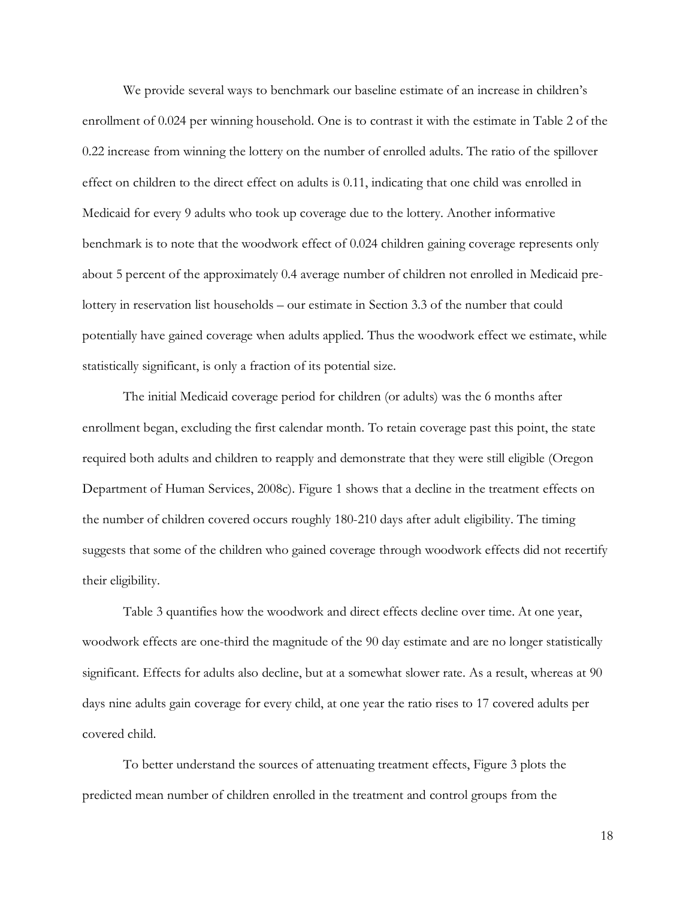We provide several ways to benchmark our baseline estimate of an increase in children's enrollment of 0.024 per winning household. One is to contrast it with the estimate in Table 2 of the 0.22 increase from winning the lottery on the number of enrolled adults. The ratio of the spillover effect on children to the direct effect on adults is 0.11, indicating that one child was enrolled in Medicaid for every 9 adults who took up coverage due to the lottery. Another informative benchmark is to note that the woodwork effect of 0.024 children gaining coverage represents only about 5 percent of the approximately 0.4 average number of children not enrolled in Medicaid prelottery in reservation list households – our estimate in Section 3.3 of the number that could potentially have gained coverage when adults applied. Thus the woodwork effect we estimate, while statistically significant, is only a fraction of its potential size.

The initial Medicaid coverage period for children (or adults) was the 6 months after enrollment began, excluding the first calendar month. To retain coverage past this point, the state required both adults and children to reapply and demonstrate that they were still eligible (Oregon Department of Human Services, 2008c). Figure 1 shows that a decline in the treatment effects on the number of children covered occurs roughly 180-210 days after adult eligibility. The timing suggests that some of the children who gained coverage through woodwork effects did not recertify their eligibility.

Table 3 quantifies how the woodwork and direct effects decline over time. At one year, woodwork effects are one-third the magnitude of the 90 day estimate and are no longer statistically significant. Effects for adults also decline, but at a somewhat slower rate. As a result, whereas at 90 days nine adults gain coverage for every child, at one year the ratio rises to 17 covered adults per covered child.

To better understand the sources of attenuating treatment effects, Figure 3 plots the predicted mean number of children enrolled in the treatment and control groups from the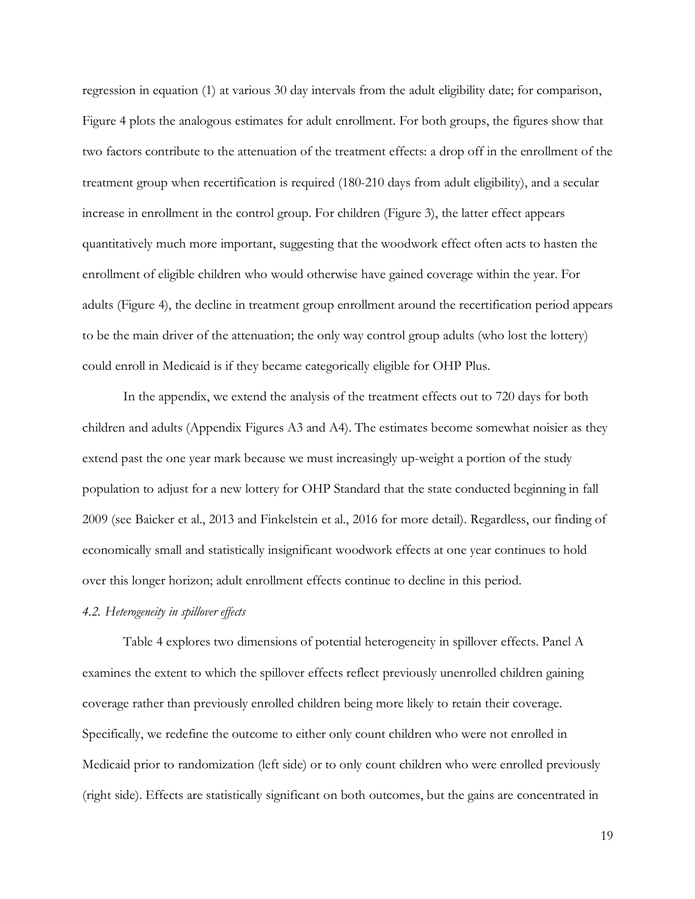regression in equation (1) at various 30 day intervals from the adult eligibility date; for comparison, Figure 4 plots the analogous estimates for adult enrollment. For both groups, the figures show that two factors contribute to the attenuation of the treatment effects: a drop off in the enrollment of the treatment group when recertification is required (180-210 days from adult eligibility), and a secular increase in enrollment in the control group. For children (Figure 3), the latter effect appears quantitatively much more important, suggesting that the woodwork effect often acts to hasten the enrollment of eligible children who would otherwise have gained coverage within the year. For adults (Figure 4), the decline in treatment group enrollment around the recertification period appears to be the main driver of the attenuation; the only way control group adults (who lost the lottery) could enroll in Medicaid is if they became categorically eligible for OHP Plus.

In the appendix, we extend the analysis of the treatment effects out to 720 days for both children and adults (Appendix Figures A3 and A4). The estimates become somewhat noisier as they extend past the one year mark because we must increasingly up-weight a portion of the study population to adjust for a new lottery for OHP Standard that the state conducted beginning in fall 2009 (see Baicker et al., 2013 and Finkelstein et al., 2016 for more detail). Regardless, our finding of economically small and statistically insignificant woodwork effects at one year continues to hold over this longer horizon; adult enrollment effects continue to decline in this period.

## *4.2. Heterogeneity in spillover effects*

Table 4 explores two dimensions of potential heterogeneity in spillover effects. Panel A examines the extent to which the spillover effects reflect previously unenrolled children gaining coverage rather than previously enrolled children being more likely to retain their coverage. Specifically, we redefine the outcome to either only count children who were not enrolled in Medicaid prior to randomization (left side) or to only count children who were enrolled previously (right side). Effects are statistically significant on both outcomes, but the gains are concentrated in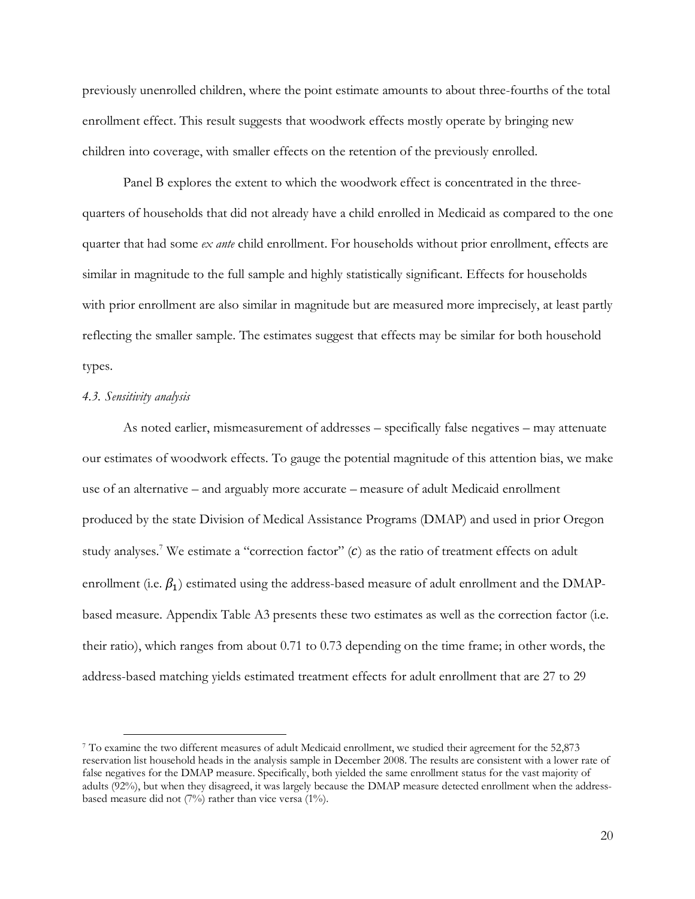previously unenrolled children, where the point estimate amounts to about three-fourths of the total enrollment effect. This result suggests that woodwork effects mostly operate by bringing new children into coverage, with smaller effects on the retention of the previously enrolled.

Panel B explores the extent to which the woodwork effect is concentrated in the threequarters of households that did not already have a child enrolled in Medicaid as compared to the one quarter that had some *ex ante* child enrollment. For households without prior enrollment, effects are similar in magnitude to the full sample and highly statistically significant. Effects for households with prior enrollment are also similar in magnitude but are measured more imprecisely, at least partly reflecting the smaller sample. The estimates suggest that effects may be similar for both household types.

#### *4.3. Sensitivity analysis*

As noted earlier, mismeasurement of addresses – specifically false negatives – may attenuate our estimates of woodwork effects. To gauge the potential magnitude of this attention bias, we make use of an alternative – and arguably more accurate – measure of adult Medicaid enrollment produced by the state Division of Medical Assistance Programs (DMAP) and used in prior Oregon study analyses.<sup>7</sup> We estimate a "correction factor"  $(c)$  as the ratio of treatment effects on adult enrollment (i.e.  $\beta_1$ ) estimated using the address-based measure of adult enrollment and the DMAPbased measure. Appendix Table A3 presents these two estimates as well as the correction factor (i.e. their ratio), which ranges from about 0.71 to 0.73 depending on the time frame; in other words, the address-based matching yields estimated treatment effects for adult enrollment that are 27 to 29

 <sup>7</sup> To examine the two different measures of adult Medicaid enrollment, we studied their agreement for the 52,873 reservation list household heads in the analysis sample in December 2008. The results are consistent with a lower rate of false negatives for the DMAP measure. Specifically, both yielded the same enrollment status for the vast majority of adults (92%), but when they disagreed, it was largely because the DMAP measure detected enrollment when the addressbased measure did not (7%) rather than vice versa (1%).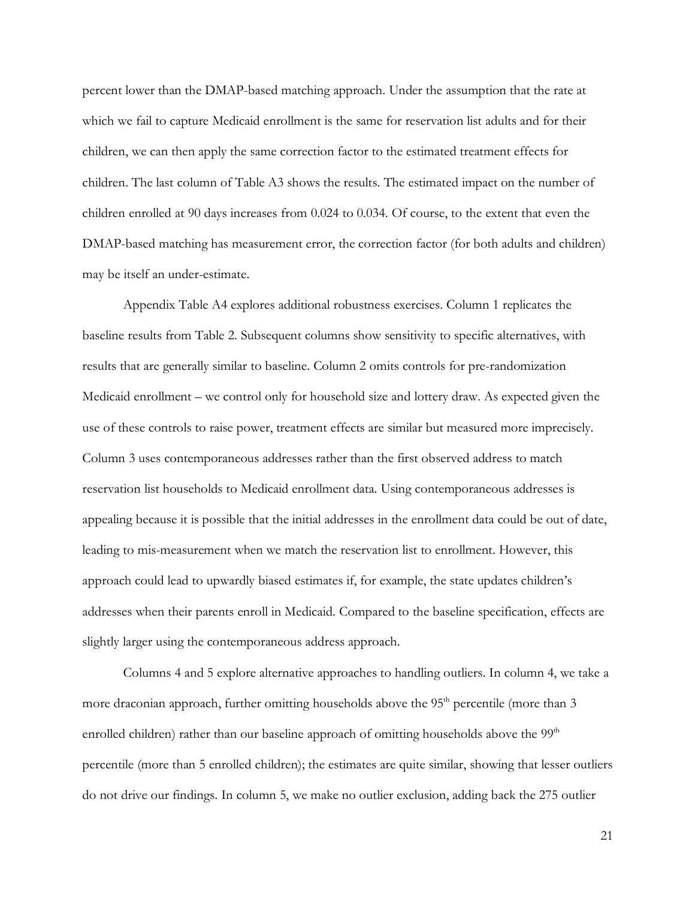percent lower than the DMAP-based matching approach. Under the assumption that the rate at which we fail to capture Medicaid enrollment is the same for reservation list adults and for their children, we can then apply the same correction factor to the estimated treatment effects for children. The last column of Table A3 shows the results. The estimated impact on the number of children enrolled at 90 days increases from 0.024 to 0.034. Of course, to the extent that even the DMAP-based matching has measurement error, the correction factor (for both adults and children) may be itself an under-estimate.

Appendix Table A4 explores additional robustness exercises. Column 1 replicates the baseline results from Table 2. Subsequent columns show sensitivity to specific alternatives, with results that are generally similar to baseline. Column 2 omits controls for pre-randomization Medicaid enrollment – we control only for household size and lottery draw. As expected given the use of these controls to raise power, treatment effects are similar but measured more imprecisely. Column 3 uses contemporaneous addresses rather than the first observed address to match reservation list households to Medicaid enrollment data. Using contemporaneous addresses is appealing because it is possible that the initial addresses in the enrollment data could be out of date, leading to mis-measurement when we match the reservation list to enrollment. However, this approach could lead to upwardly biased estimates if, for example, the state updates children's addresses when their parents enroll in Medicaid. Compared to the baseline specification, effects are slightly larger using the contemporaneous address approach.

Columns 4 and 5 explore alternative approaches to handling outliers. In column 4, we take a more draconian approach, further omitting households above the  $95<sup>th</sup>$  percentile (more than 3 enrolled children) rather than our baseline approach of omitting households above the  $99<sup>th</sup>$ percentile (more than 5 enrolled children); the estimates are quite similar, showing that lesser outliers do not drive our findings. In column 5, we make no outlier exclusion, adding back the 275 outlier

21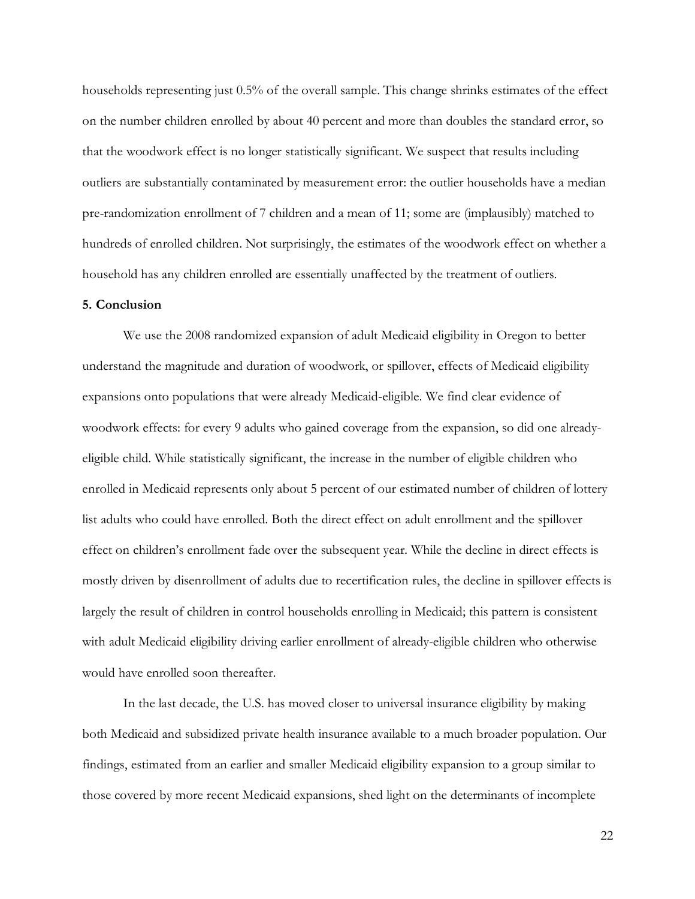households representing just 0.5% of the overall sample. This change shrinks estimates of the effect on the number children enrolled by about 40 percent and more than doubles the standard error, so that the woodwork effect is no longer statistically significant. We suspect that results including outliers are substantially contaminated by measurement error: the outlier households have a median pre-randomization enrollment of 7 children and a mean of 11; some are (implausibly) matched to hundreds of enrolled children. Not surprisingly, the estimates of the woodwork effect on whether a household has any children enrolled are essentially unaffected by the treatment of outliers.

#### **5. Conclusion**

We use the 2008 randomized expansion of adult Medicaid eligibility in Oregon to better understand the magnitude and duration of woodwork, or spillover, effects of Medicaid eligibility expansions onto populations that were already Medicaid-eligible. We find clear evidence of woodwork effects: for every 9 adults who gained coverage from the expansion, so did one alreadyeligible child. While statistically significant, the increase in the number of eligible children who enrolled in Medicaid represents only about 5 percent of our estimated number of children of lottery list adults who could have enrolled. Both the direct effect on adult enrollment and the spillover effect on children's enrollment fade over the subsequent year. While the decline in direct effects is mostly driven by disenrollment of adults due to recertification rules, the decline in spillover effects is largely the result of children in control households enrolling in Medicaid; this pattern is consistent with adult Medicaid eligibility driving earlier enrollment of already-eligible children who otherwise would have enrolled soon thereafter.

In the last decade, the U.S. has moved closer to universal insurance eligibility by making both Medicaid and subsidized private health insurance available to a much broader population. Our findings, estimated from an earlier and smaller Medicaid eligibility expansion to a group similar to those covered by more recent Medicaid expansions, shed light on the determinants of incomplete

22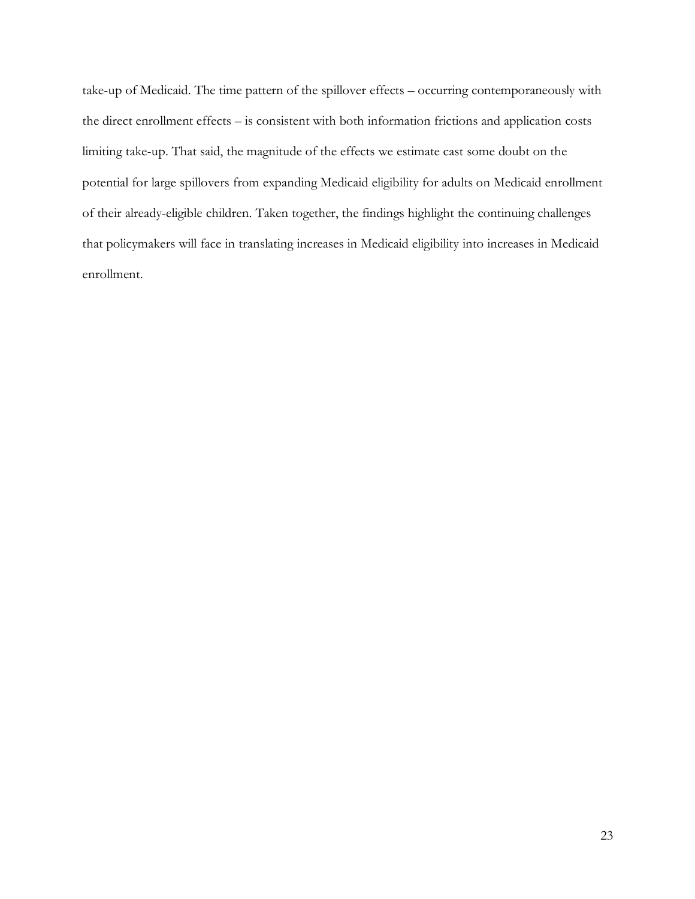take-up of Medicaid. The time pattern of the spillover effects – occurring contemporaneously with the direct enrollment effects – is consistent with both information frictions and application costs limiting take-up. That said, the magnitude of the effects we estimate cast some doubt on the potential for large spillovers from expanding Medicaid eligibility for adults on Medicaid enrollment of their already-eligible children. Taken together, the findings highlight the continuing challenges that policymakers will face in translating increases in Medicaid eligibility into increases in Medicaid enrollment.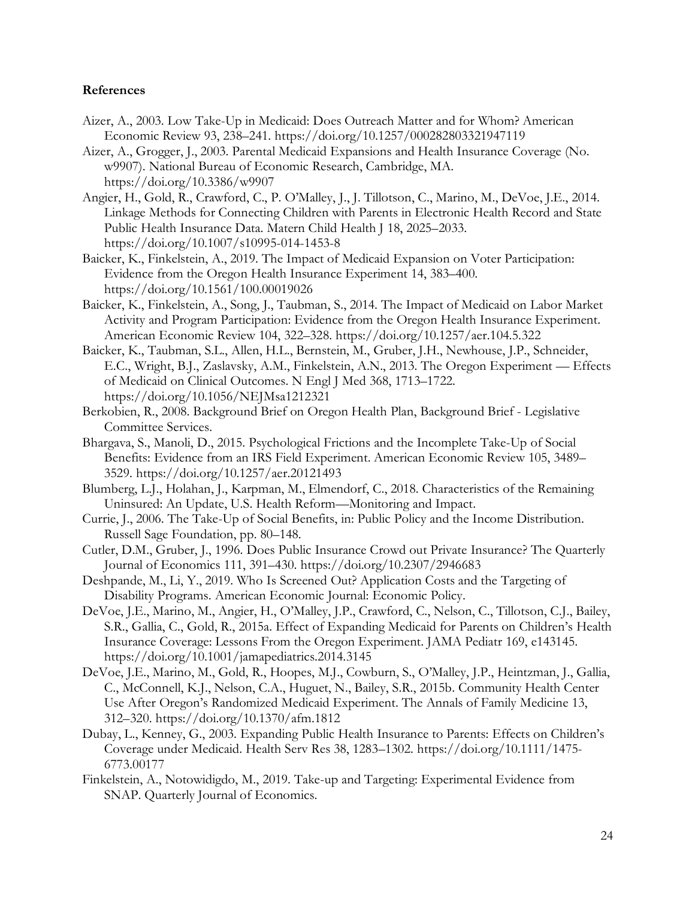## **References**

- Aizer, A., 2003. Low Take-Up in Medicaid: Does Outreach Matter and for Whom? American Economic Review 93, 238–241. https://doi.org/10.1257/000282803321947119
- Aizer, A., Grogger, J., 2003. Parental Medicaid Expansions and Health Insurance Coverage (No. w9907). National Bureau of Economic Research, Cambridge, MA. https://doi.org/10.3386/w9907
- Angier, H., Gold, R., Crawford, C., P. O'Malley, J., J. Tillotson, C., Marino, M., DeVoe, J.E., 2014. Linkage Methods for Connecting Children with Parents in Electronic Health Record and State Public Health Insurance Data. Matern Child Health J 18, 2025–2033. https://doi.org/10.1007/s10995-014-1453-8
- Baicker, K., Finkelstein, A., 2019. The Impact of Medicaid Expansion on Voter Participation: Evidence from the Oregon Health Insurance Experiment 14, 383–400. https://doi.org/10.1561/100.00019026
- Baicker, K., Finkelstein, A., Song, J., Taubman, S., 2014. The Impact of Medicaid on Labor Market Activity and Program Participation: Evidence from the Oregon Health Insurance Experiment. American Economic Review 104, 322–328. https://doi.org/10.1257/aer.104.5.322
- Baicker, K., Taubman, S.L., Allen, H.L., Bernstein, M., Gruber, J.H., Newhouse, J.P., Schneider, E.C., Wright, B.J., Zaslavsky, A.M., Finkelstein, A.N., 2013. The Oregon Experiment — Effects of Medicaid on Clinical Outcomes. N Engl J Med 368, 1713–1722. https://doi.org/10.1056/NEJMsa1212321
- Berkobien, R., 2008. Background Brief on Oregon Health Plan, Background Brief Legislative Committee Services.
- Bhargava, S., Manoli, D., 2015. Psychological Frictions and the Incomplete Take-Up of Social Benefits: Evidence from an IRS Field Experiment. American Economic Review 105, 3489– 3529. https://doi.org/10.1257/aer.20121493
- Blumberg, L.J., Holahan, J., Karpman, M., Elmendorf, C., 2018. Characteristics of the Remaining Uninsured: An Update, U.S. Health Reform—Monitoring and Impact.
- Currie, J., 2006. The Take-Up of Social Benefits, in: Public Policy and the Income Distribution. Russell Sage Foundation, pp. 80–148.
- Cutler, D.M., Gruber, J., 1996. Does Public Insurance Crowd out Private Insurance? The Quarterly Journal of Economics 111, 391–430. https://doi.org/10.2307/2946683
- Deshpande, M., Li, Y., 2019. Who Is Screened Out? Application Costs and the Targeting of Disability Programs. American Economic Journal: Economic Policy.
- DeVoe, J.E., Marino, M., Angier, H., O'Malley, J.P., Crawford, C., Nelson, C., Tillotson, C.J., Bailey, S.R., Gallia, C., Gold, R., 2015a. Effect of Expanding Medicaid for Parents on Children's Health Insurance Coverage: Lessons From the Oregon Experiment. JAMA Pediatr 169, e143145. https://doi.org/10.1001/jamapediatrics.2014.3145
- DeVoe, J.E., Marino, M., Gold, R., Hoopes, M.J., Cowburn, S., O'Malley, J.P., Heintzman, J., Gallia, C., McConnell, K.J., Nelson, C.A., Huguet, N., Bailey, S.R., 2015b. Community Health Center Use After Oregon's Randomized Medicaid Experiment. The Annals of Family Medicine 13, 312–320. https://doi.org/10.1370/afm.1812
- Dubay, L., Kenney, G., 2003. Expanding Public Health Insurance to Parents: Effects on Children's Coverage under Medicaid. Health Serv Res 38, 1283–1302. https://doi.org/10.1111/1475- 6773.00177
- Finkelstein, A., Notowidigdo, M., 2019. Take-up and Targeting: Experimental Evidence from SNAP. Quarterly Journal of Economics.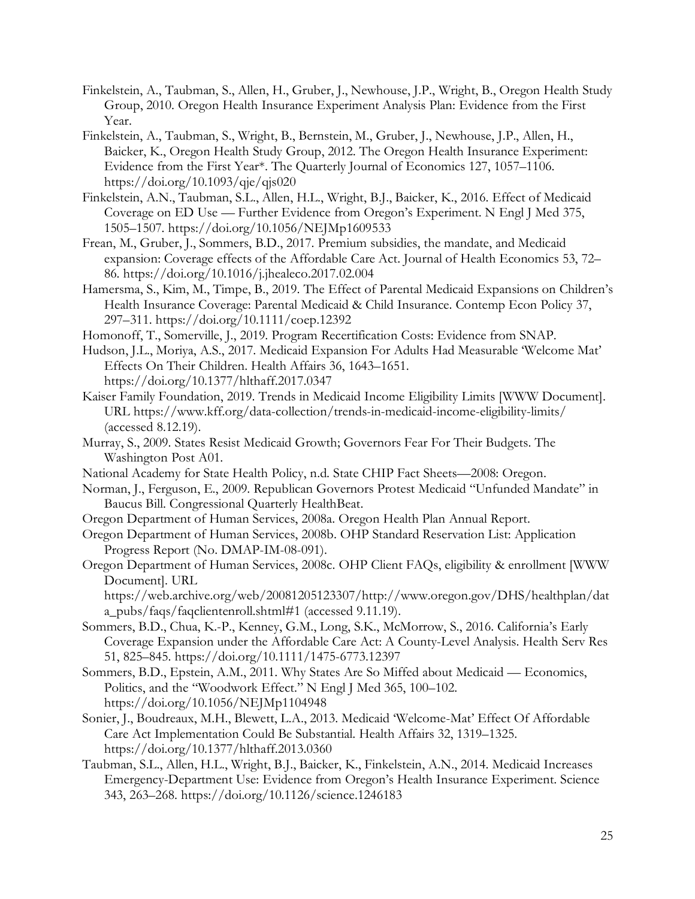- Finkelstein, A., Taubman, S., Allen, H., Gruber, J., Newhouse, J.P., Wright, B., Oregon Health Study Group, 2010. Oregon Health Insurance Experiment Analysis Plan: Evidence from the First Year.
- Finkelstein, A., Taubman, S., Wright, B., Bernstein, M., Gruber, J., Newhouse, J.P., Allen, H., Baicker, K., Oregon Health Study Group, 2012. The Oregon Health Insurance Experiment: Evidence from the First Year\*. The Quarterly Journal of Economics 127, 1057–1106. https://doi.org/10.1093/qje/qjs020
- Finkelstein, A.N., Taubman, S.L., Allen, H.L., Wright, B.J., Baicker, K., 2016. Effect of Medicaid Coverage on ED Use — Further Evidence from Oregon's Experiment. N Engl J Med 375, 1505–1507. https://doi.org/10.1056/NEJMp1609533
- Frean, M., Gruber, J., Sommers, B.D., 2017. Premium subsidies, the mandate, and Medicaid expansion: Coverage effects of the Affordable Care Act. Journal of Health Economics 53, 72– 86. https://doi.org/10.1016/j.jhealeco.2017.02.004
- Hamersma, S., Kim, M., Timpe, B., 2019. The Effect of Parental Medicaid Expansions on Children's Health Insurance Coverage: Parental Medicaid & Child Insurance. Contemp Econ Policy 37, 297–311. https://doi.org/10.1111/coep.12392
- Homonoff, T., Somerville, J., 2019. Program Recertification Costs: Evidence from SNAP.
- Hudson, J.L., Moriya, A.S., 2017. Medicaid Expansion For Adults Had Measurable 'Welcome Mat' Effects On Their Children. Health Affairs 36, 1643–1651. https://doi.org/10.1377/hlthaff.2017.0347
- Kaiser Family Foundation, 2019. Trends in Medicaid Income Eligibility Limits [WWW Document]. URL https://www.kff.org/data-collection/trends-in-medicaid-income-eligibility-limits/ (accessed 8.12.19).
- Murray, S., 2009. States Resist Medicaid Growth; Governors Fear For Their Budgets. The Washington Post A01.
- National Academy for State Health Policy, n.d. State CHIP Fact Sheets—2008: Oregon.
- Norman, J., Ferguson, E., 2009. Republican Governors Protest Medicaid "Unfunded Mandate" in Baucus Bill. Congressional Quarterly HealthBeat.
- Oregon Department of Human Services, 2008a. Oregon Health Plan Annual Report.
- Oregon Department of Human Services, 2008b. OHP Standard Reservation List: Application Progress Report (No. DMAP-IM-08-091).
- Oregon Department of Human Services, 2008c. OHP Client FAQs, eligibility & enrollment [WWW Document]. URL

https://web.archive.org/web/20081205123307/http://www.oregon.gov/DHS/healthplan/dat a\_pubs/faqs/faqclientenroll.shtml#1 (accessed 9.11.19).

- Sommers, B.D., Chua, K.-P., Kenney, G.M., Long, S.K., McMorrow, S., 2016. California's Early Coverage Expansion under the Affordable Care Act: A County-Level Analysis. Health Serv Res 51, 825–845. https://doi.org/10.1111/1475-6773.12397
- Sommers, B.D., Epstein, A.M., 2011. Why States Are So Miffed about Medicaid Economics, Politics, and the "Woodwork Effect." N Engl J Med 365, 100–102. https://doi.org/10.1056/NEJMp1104948
- Sonier, J., Boudreaux, M.H., Blewett, L.A., 2013. Medicaid 'Welcome-Mat' Effect Of Affordable Care Act Implementation Could Be Substantial. Health Affairs 32, 1319–1325. https://doi.org/10.1377/hlthaff.2013.0360
- Taubman, S.L., Allen, H.L., Wright, B.J., Baicker, K., Finkelstein, A.N., 2014. Medicaid Increases Emergency-Department Use: Evidence from Oregon's Health Insurance Experiment. Science 343, 263–268. https://doi.org/10.1126/science.1246183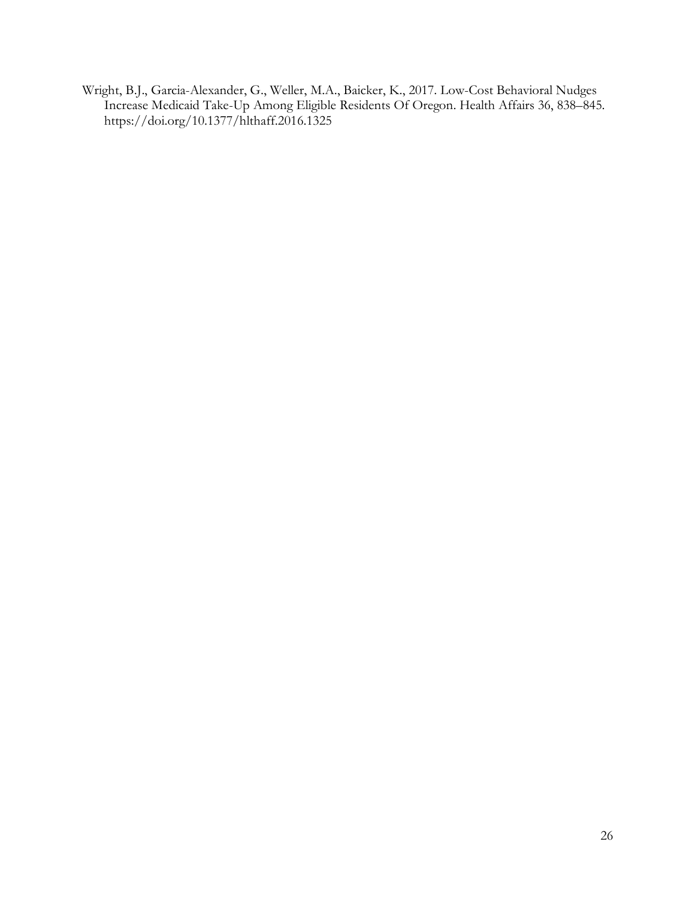Wright, B.J., Garcia-Alexander, G., Weller, M.A., Baicker, K., 2017. Low-Cost Behavioral Nudges Increase Medicaid Take-Up Among Eligible Residents Of Oregon. Health Affairs 36, 838–845. https://doi.org/10.1377/hlthaff.2016.1325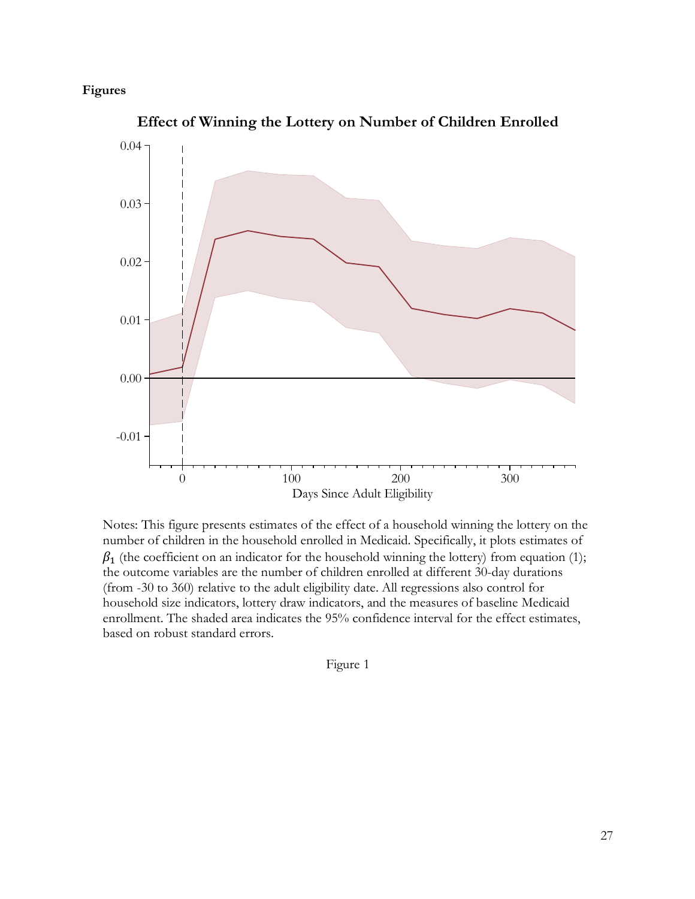## **Figures**



**Effect of Winning the Lottery on Number of Children Enrolled**

Notes: This figure presents estimates of the effect of a household winning the lottery on the number of children in the household enrolled in Medicaid. Specifically, it plots estimates of  $\beta_1$  (the coefficient on an indicator for the household winning the lottery) from equation (1); the outcome variables are the number of children enrolled at different 30-day durations (from -30 to 360) relative to the adult eligibility date. All regressions also control for household size indicators, lottery draw indicators, and the measures of baseline Medicaid enrollment. The shaded area indicates the 95% confidence interval for the effect estimates, based on robust standard errors.

Figure 1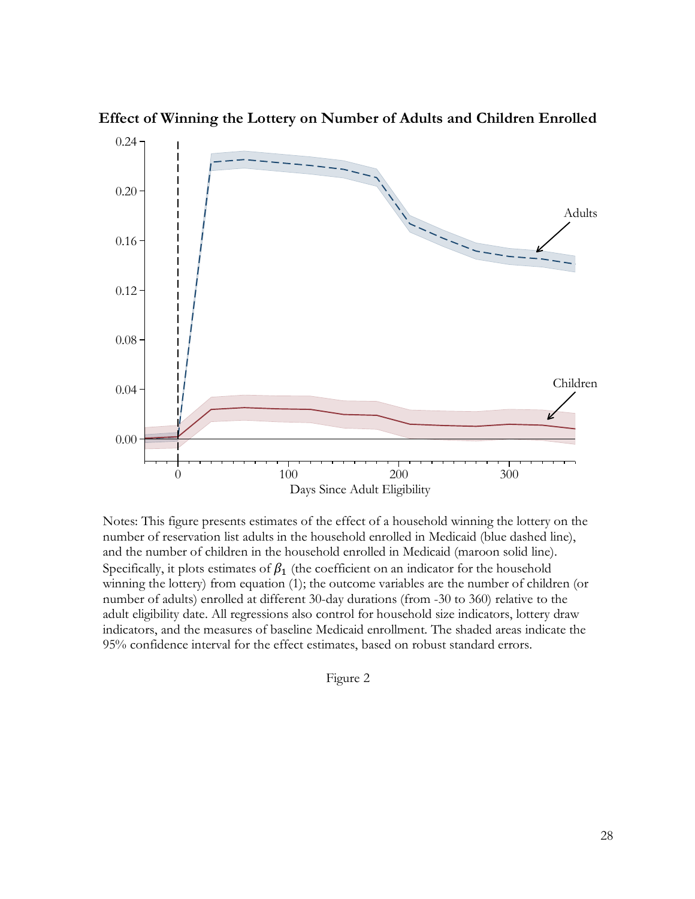

**Effect of Winning the Lottery on Number of Adults and Children Enrolled**

Notes: This figure presents estimates of the effect of a household winning the lottery on the number of reservation list adults in the household enrolled in Medicaid (blue dashed line), and the number of children in the household enrolled in Medicaid (maroon solid line). Specifically, it plots estimates of  $\beta_1$  (the coefficient on an indicator for the household winning the lottery) from equation (1); the outcome variables are the number of children (or number of adults) enrolled at different 30-day durations (from -30 to 360) relative to the adult eligibility date. All regressions also control for household size indicators, lottery draw indicators, and the measures of baseline Medicaid enrollment. The shaded areas indicate the 95% confidence interval for the effect estimates, based on robust standard errors.

Figure 2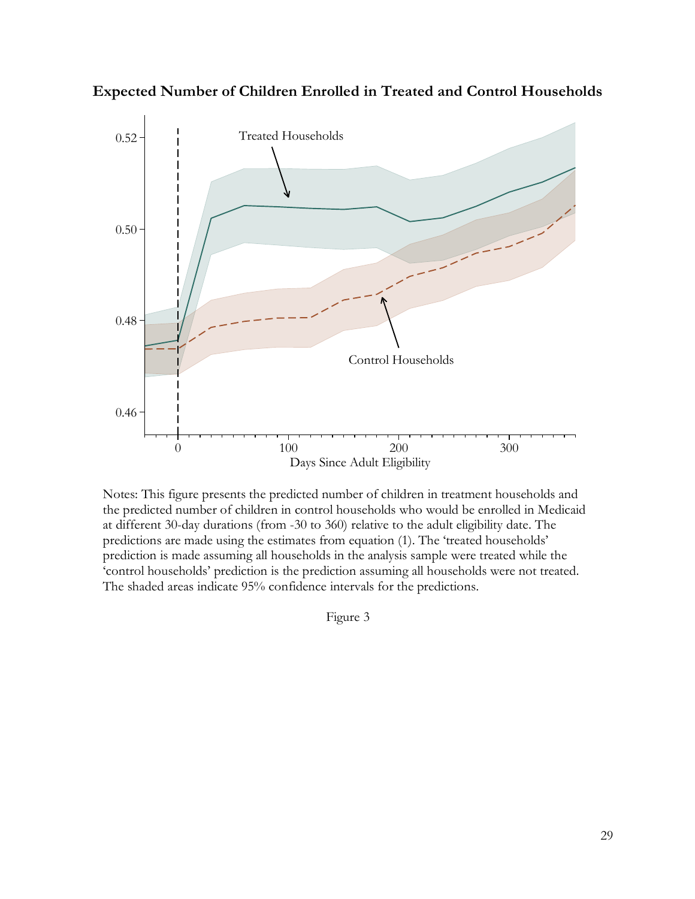

**Expected Number of Children Enrolled in Treated and Control Households**

Notes: This figure presents the predicted number of children in treatment households and the predicted number of children in control households who would be enrolled in Medicaid at different 30-day durations (from -30 to 360) relative to the adult eligibility date. The predictions are made using the estimates from equation (1). The 'treated households' prediction is made assuming all households in the analysis sample were treated while the 'control households' prediction is the prediction assuming all households were not treated. The shaded areas indicate 95% confidence intervals for the predictions.

Figure 3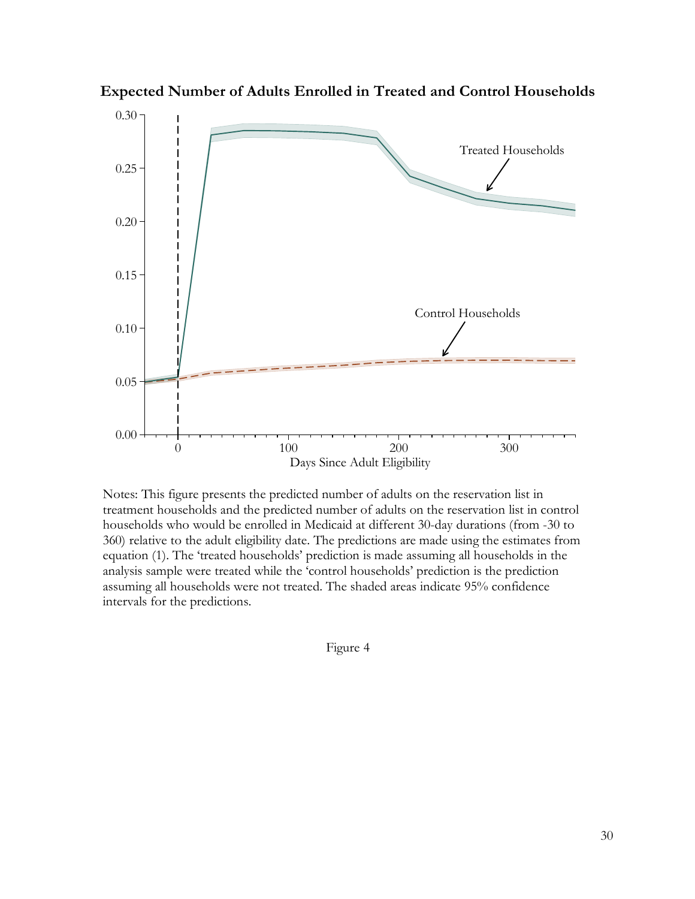

**Expected Number of Adults Enrolled in Treated and Control Households**

Notes: This figure presents the predicted number of adults on the reservation list in treatment households and the predicted number of adults on the reservation list in control households who would be enrolled in Medicaid at different 30-day durations (from -30 to 360) relative to the adult eligibility date. The predictions are made using the estimates from equation (1). The 'treated households' prediction is made assuming all households in the analysis sample were treated while the 'control households' prediction is the prediction assuming all households were not treated. The shaded areas indicate 95% confidence intervals for the predictions.

Figure 4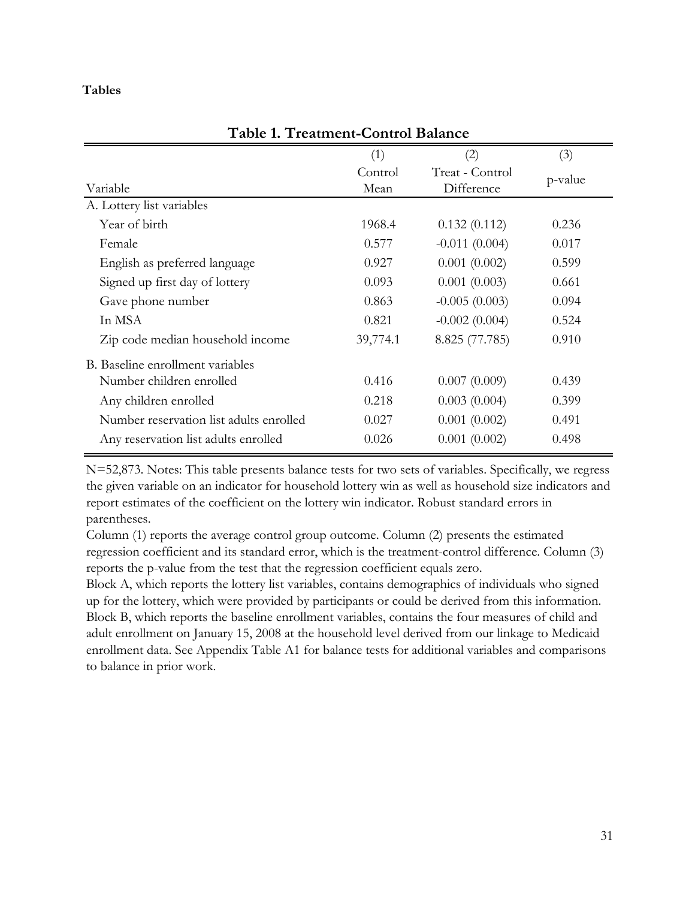## **Tables**

| (1)      | (2)             | (3)     |
|----------|-----------------|---------|
| Control  | Treat - Control | p-value |
| Mean     | Difference      |         |
|          |                 |         |
| 1968.4   | 0.132(0.112)    | 0.236   |
| 0.577    | $-0.011(0.004)$ | 0.017   |
| 0.927    | 0.001(0.002)    | 0.599   |
| 0.093    | 0.001(0.003)    | 0.661   |
| 0.863    | $-0.005(0.003)$ | 0.094   |
| 0.821    | $-0.002(0.004)$ | 0.524   |
| 39,774.1 | 8.825 (77.785)  | 0.910   |
|          |                 |         |
| 0.416    | 0.007(0.009)    | 0.439   |
| 0.218    | 0.003(0.004)    | 0.399   |
| 0.027    | 0.001(0.002)    | 0.491   |
| 0.026    | 0.001(0.002)    | 0.498   |
|          |                 |         |

## **Table 1. Treatment-Control Balance**

N=52,873. Notes: This table presents balance tests for two sets of variables. Specifically, we regress the given variable on an indicator for household lottery win as well as household size indicators and report estimates of the coefficient on the lottery win indicator. Robust standard errors in parentheses.

Column (1) reports the average control group outcome. Column (2) presents the estimated regression coefficient and its standard error, which is the treatment-control difference. Column (3) reports the p-value from the test that the regression coefficient equals zero.

Block A, which reports the lottery list variables, contains demographics of individuals who signed up for the lottery, which were provided by participants or could be derived from this information. Block B, which reports the baseline enrollment variables, contains the four measures of child and adult enrollment on January 15, 2008 at the household level derived from our linkage to Medicaid enrollment data. See Appendix Table A1 for balance tests for additional variables and comparisons to balance in prior work.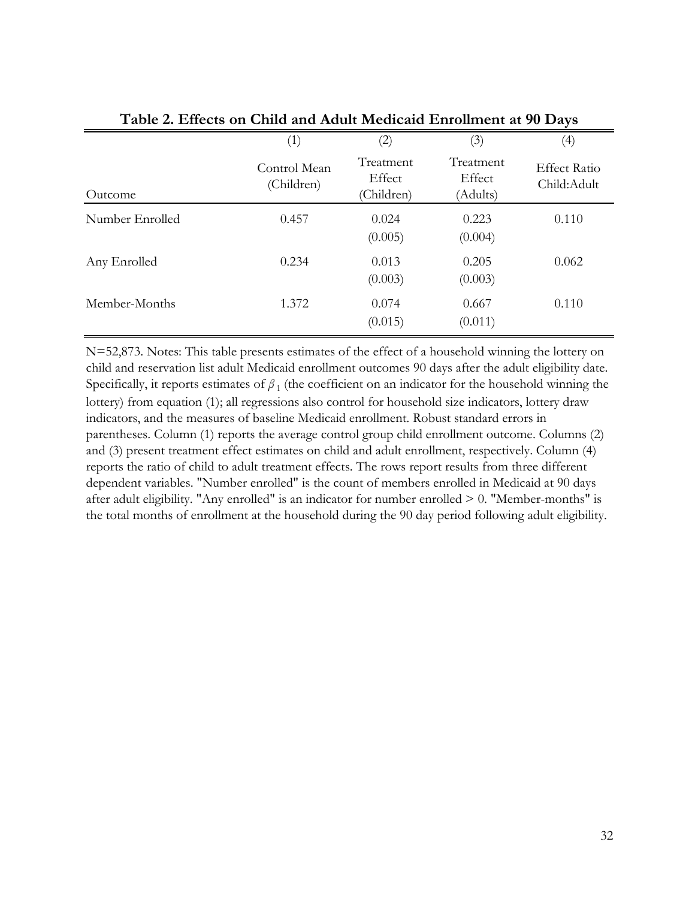| Table 2. Effects on Clind and Addit Medicald Emfollment at 50 Days |                            |                                   |                                 |                                    |  |
|--------------------------------------------------------------------|----------------------------|-----------------------------------|---------------------------------|------------------------------------|--|
|                                                                    | (1)                        | $\left( 2\right)$                 | (3)                             | $\left( 4\right)$                  |  |
| Outcome                                                            | Control Mean<br>(Children) | Treatment<br>Effect<br>(Children) | Treatment<br>Effect<br>(Adults) | <b>Effect Ratio</b><br>Child:Adult |  |
| Number Enrolled                                                    | 0.457                      | 0.024<br>(0.005)                  | 0.223<br>(0.004)                | 0.110                              |  |
| Any Enrolled                                                       | 0.234                      | 0.013<br>(0.003)                  | 0.205<br>(0.003)                | 0.062                              |  |
| Member-Months                                                      | 1.372                      | 0.074<br>(0.015)                  | 0.667<br>(0.011)                | 0.110                              |  |

| Table 2. Effects on Child and Adult Medicaid Enrollment at 90 Days |  |  |  |
|--------------------------------------------------------------------|--|--|--|
|                                                                    |  |  |  |
|                                                                    |  |  |  |

N=52,873. Notes: This table presents estimates of the effect of a household winning the lottery on child and reservation list adult Medicaid enrollment outcomes 90 days after the adult eligibility date. Specifically, it reports estimates of  $\beta_1$  (the coefficient on an indicator for the household winning the lottery) from equation (1); all regressions also control for household size indicators, lottery draw indicators, and the measures of baseline Medicaid enrollment. Robust standard errors in parentheses. Column (1) reports the average control group child enrollment outcome. Columns (2) and (3) present treatment effect estimates on child and adult enrollment, respectively. Column (4) reports the ratio of child to adult treatment effects. The rows report results from three different dependent variables. "Number enrolled" is the count of members enrolled in Medicaid at 90 days after adult eligibility. "Any enrolled" is an indicator for number enrolled  $> 0$ . "Member-months" is the total months of enrollment at the household during the 90 day period following adult eligibility.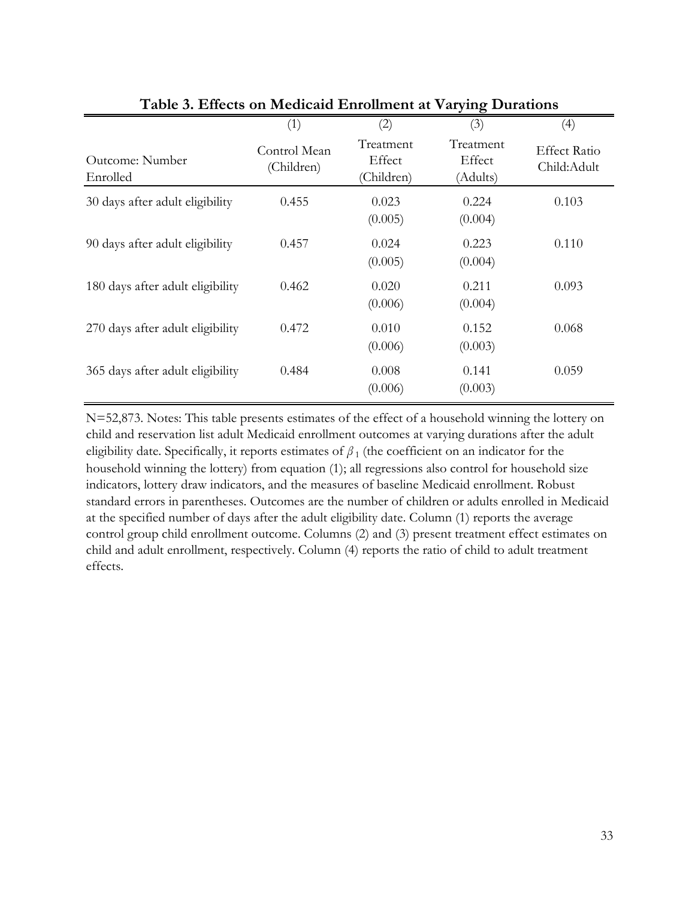|                                  | (1)                        | (2)                               | (3)                             | (4)                                |
|----------------------------------|----------------------------|-----------------------------------|---------------------------------|------------------------------------|
| Outcome: Number<br>Enrolled      | Control Mean<br>(Children) | Treatment<br>Effect<br>(Children) | Treatment<br>Effect<br>(Adults) | <b>Effect Ratio</b><br>Child:Adult |
| 30 days after adult eligibility  | 0.455                      | 0.023<br>(0.005)                  | 0.224<br>(0.004)                | 0.103                              |
| 90 days after adult eligibility  | 0.457                      | 0.024<br>(0.005)                  | 0.223<br>(0.004)                | 0.110                              |
| 180 days after adult eligibility | 0.462                      | 0.020<br>(0.006)                  | 0.211<br>(0.004)                | 0.093                              |
| 270 days after adult eligibility | 0.472                      | 0.010<br>(0.006)                  | 0.152<br>(0.003)                | 0.068                              |
| 365 days after adult eligibility | 0.484                      | 0.008<br>(0.006)                  | 0.141<br>(0.003)                | 0.059                              |

**Table 3. Effects on Medicaid Enrollment at Varying Durations**

N=52,873. Notes: This table presents estimates of the effect of a household winning the lottery on child and reservation list adult Medicaid enrollment outcomes at varying durations after the adult eligibility date. Specifically, it reports estimates of  $\beta_1$  (the coefficient on an indicator for the household winning the lottery) from equation (1); all regressions also control for household size indicators, lottery draw indicators, and the measures of baseline Medicaid enrollment. Robust standard errors in parentheses. Outcomes are the number of children or adults enrolled in Medicaid at the specified number of days after the adult eligibility date. Column (1) reports the average control group child enrollment outcome. Columns (2) and (3) present treatment effect estimates on child and adult enrollment, respectively. Column (4) reports the ratio of child to adult treatment effects.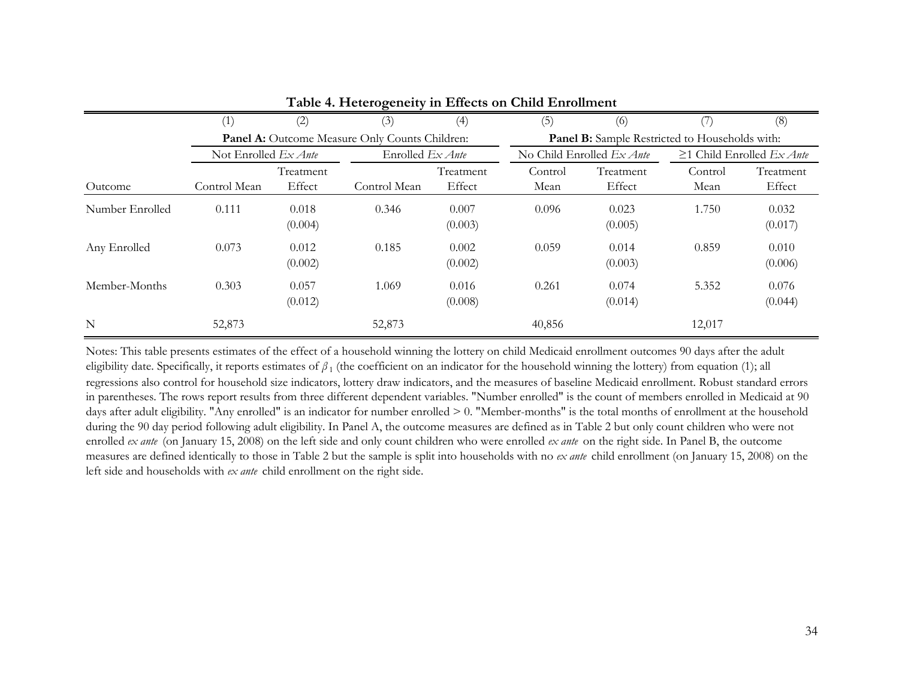|                 |                               |                     | - 0                                            |                     |                 |                                                       |                 |                                 |
|-----------------|-------------------------------|---------------------|------------------------------------------------|---------------------|-----------------|-------------------------------------------------------|-----------------|---------------------------------|
|                 | (1)                           | (2)                 | (3)                                            | (4)                 | (5)             | (6)                                                   |                 | (8)                             |
|                 |                               |                     | Panel A: Outcome Measure Only Counts Children: |                     |                 | <b>Panel B:</b> Sample Restricted to Households with: |                 |                                 |
|                 | Not Enrolled $Ex$ <i>Ante</i> |                     | Enrolled $Ex$ <i>Ante</i>                      |                     |                 | No Child Enrolled $Ex$ <i>Ante</i>                    |                 | $\geq$ 1 Child Enrolled Ex Ante |
| Outcome         | Control Mean                  | Treatment<br>Effect | Control Mean                                   | Treatment<br>Effect | Control<br>Mean | Treatment<br>Effect                                   | Control<br>Mean | Treatment<br>Effect             |
| Number Enrolled | 0.111                         | 0.018<br>(0.004)    | 0.346                                          | 0.007<br>(0.003)    | 0.096           | 0.023<br>(0.005)                                      | 1.750           | 0.032<br>(0.017)                |
| Any Enrolled    | 0.073                         | 0.012<br>(0.002)    | 0.185                                          | 0.002<br>(0.002)    | 0.059           | 0.014<br>(0.003)                                      | 0.859           | 0.010<br>(0.006)                |
| Member-Months   | 0.303                         | 0.057<br>(0.012)    | 1.069                                          | 0.016<br>(0.008)    | 0.261           | 0.074<br>(0.014)                                      | 5.352           | 0.076<br>(0.044)                |
| N               | 52,873                        |                     | 52,873                                         |                     | 40,856          |                                                       | 12,017          |                                 |

#### **Table 4. Heterogeneity in Effects on Child Enrollment**

Notes: This table presents estimates of the effect of a household winning the lottery on child Medicaid enrollment outcomes 90 days after the adult eligibility date. Specifically, it reports estimates of *β*<sub>1</sub> (the coefficient on an indicator for the household winning the lottery) from equation (1); all regressions also control for household size indicators, lottery draw indicators, and the measures of baseline Medicaid enrollment. Robust standard errors in parentheses. The rows report results from three different dependent variables. "Number enrolled" is the count of members enrolled in Medicaid at 90 days after adult eligibility. "Any enrolled" is an indicator for number enrolled > 0. "Member-months" is the total months of enrollment at the household during the 90 day period following adult eligibility. In Panel A, the outcome measures are defined as in Table 2 but only count children who were not enrolled *ex ante* (on January 15, 2008) on the left side and only count children who were enrolled *ex ante* on the right side. In Panel B, the outcome measures are defined identically to those in Table 2 but the sample is split into households with no *ex ante* child enrollment (on January 15, 2008) on the left side and households with *ex ante* child enrollment on the right side.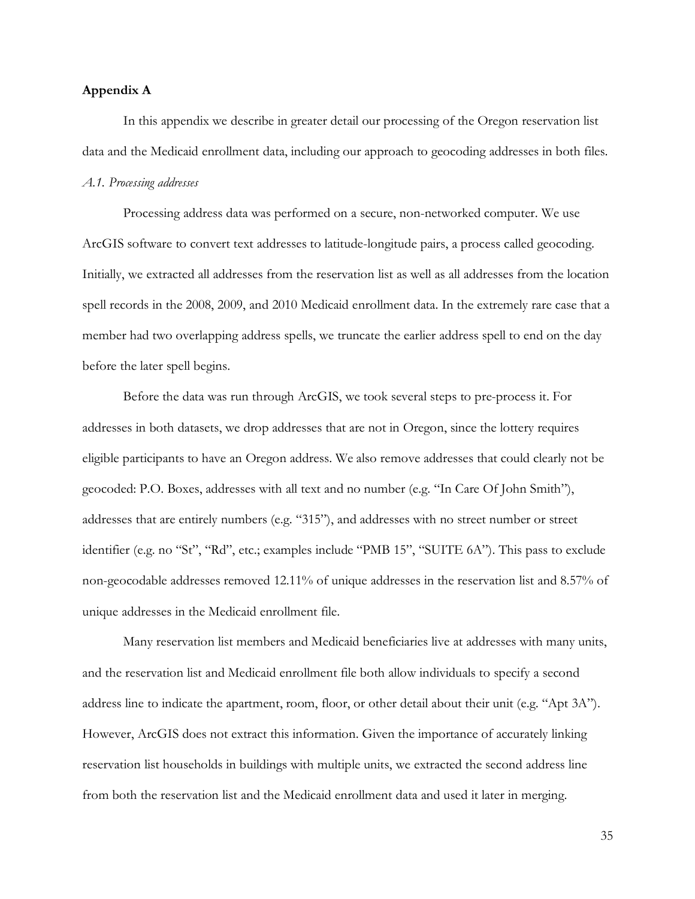### **Appendix A**

In this appendix we describe in greater detail our processing of the Oregon reservation list data and the Medicaid enrollment data, including our approach to geocoding addresses in both files. *A.1. Processing addresses*

Processing address data was performed on a secure, non-networked computer. We use ArcGIS software to convert text addresses to latitude-longitude pairs, a process called geocoding. Initially, we extracted all addresses from the reservation list as well as all addresses from the location spell records in the 2008, 2009, and 2010 Medicaid enrollment data. In the extremely rare case that a member had two overlapping address spells, we truncate the earlier address spell to end on the day before the later spell begins.

Before the data was run through ArcGIS, we took several steps to pre-process it. For addresses in both datasets, we drop addresses that are not in Oregon, since the lottery requires eligible participants to have an Oregon address. We also remove addresses that could clearly not be geocoded: P.O. Boxes, addresses with all text and no number (e.g. "In Care Of John Smith"), addresses that are entirely numbers (e.g. "315"), and addresses with no street number or street identifier (e.g. no "St", "Rd", etc.; examples include "PMB 15", "SUITE 6A"). This pass to exclude non-geocodable addresses removed 12.11% of unique addresses in the reservation list and 8.57% of unique addresses in the Medicaid enrollment file.

Many reservation list members and Medicaid beneficiaries live at addresses with many units, and the reservation list and Medicaid enrollment file both allow individuals to specify a second address line to indicate the apartment, room, floor, or other detail about their unit (e.g. "Apt 3A"). However, ArcGIS does not extract this information. Given the importance of accurately linking reservation list households in buildings with multiple units, we extracted the second address line from both the reservation list and the Medicaid enrollment data and used it later in merging.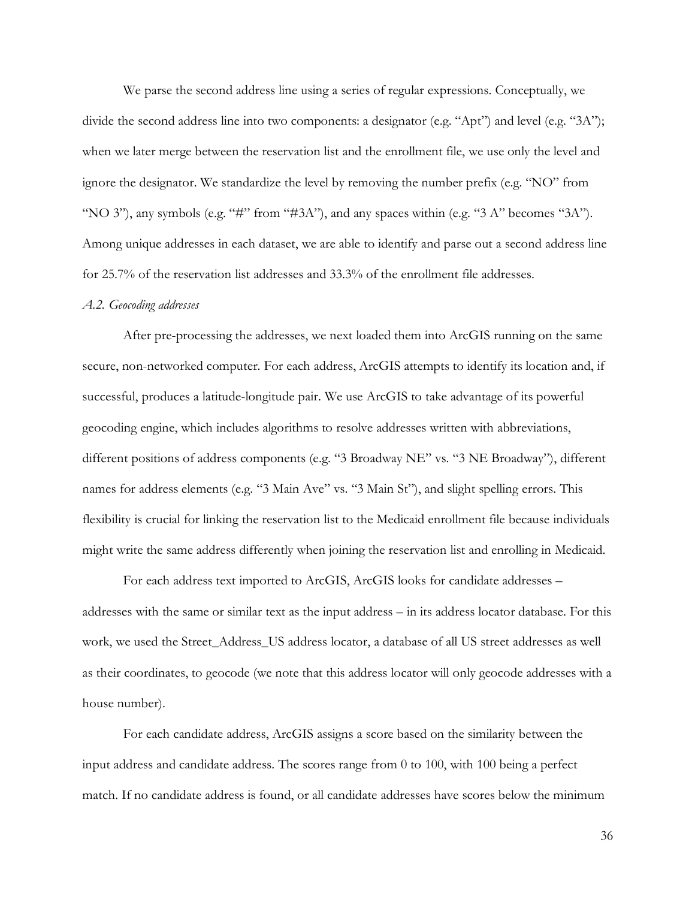We parse the second address line using a series of regular expressions. Conceptually, we divide the second address line into two components: a designator (e.g. "Apt") and level (e.g. "3A"); when we later merge between the reservation list and the enrollment file, we use only the level and ignore the designator. We standardize the level by removing the number prefix (e.g. "NO" from "NO 3"), any symbols (e.g. "#" from "#3A"), and any spaces within (e.g. "3 A" becomes "3A"). Among unique addresses in each dataset, we are able to identify and parse out a second address line for 25.7% of the reservation list addresses and 33.3% of the enrollment file addresses.

#### *A.2. Geocoding addresses*

After pre-processing the addresses, we next loaded them into ArcGIS running on the same secure, non-networked computer. For each address, ArcGIS attempts to identify its location and, if successful, produces a latitude-longitude pair. We use ArcGIS to take advantage of its powerful geocoding engine, which includes algorithms to resolve addresses written with abbreviations, different positions of address components (e.g. "3 Broadway NE" vs. "3 NE Broadway"), different names for address elements (e.g. "3 Main Ave" vs. "3 Main St"), and slight spelling errors. This flexibility is crucial for linking the reservation list to the Medicaid enrollment file because individuals might write the same address differently when joining the reservation list and enrolling in Medicaid.

For each address text imported to ArcGIS, ArcGIS looks for candidate addresses – addresses with the same or similar text as the input address – in its address locator database. For this work, we used the Street\_Address\_US address locator, a database of all US street addresses as well as their coordinates, to geocode (we note that this address locator will only geocode addresses with a house number).

For each candidate address, ArcGIS assigns a score based on the similarity between the input address and candidate address. The scores range from 0 to 100, with 100 being a perfect match. If no candidate address is found, or all candidate addresses have scores below the minimum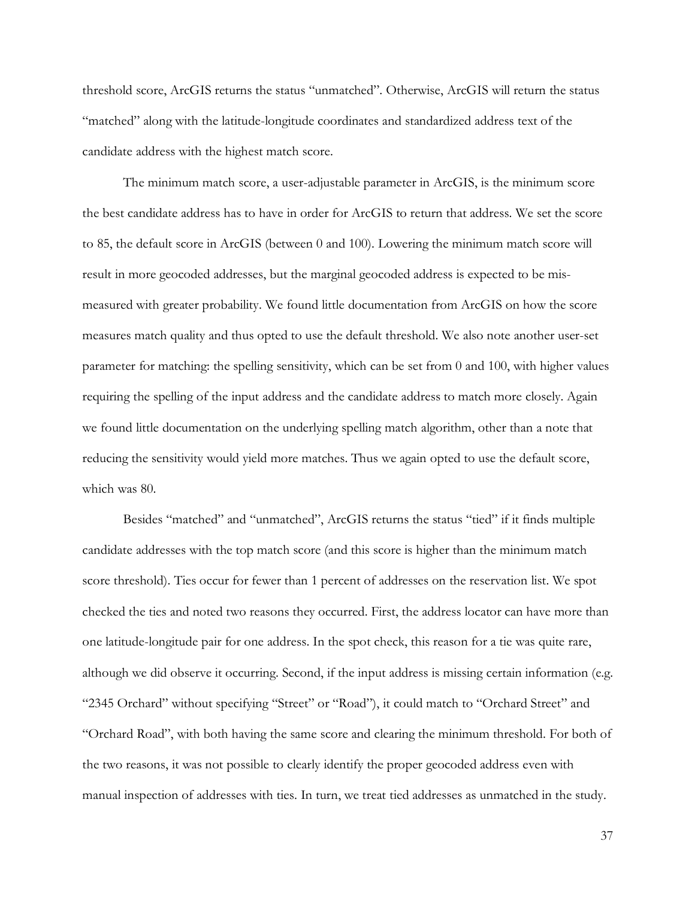threshold score, ArcGIS returns the status "unmatched". Otherwise, ArcGIS will return the status "matched" along with the latitude-longitude coordinates and standardized address text of the candidate address with the highest match score.

The minimum match score, a user-adjustable parameter in ArcGIS, is the minimum score the best candidate address has to have in order for ArcGIS to return that address. We set the score to 85, the default score in ArcGIS (between 0 and 100). Lowering the minimum match score will result in more geocoded addresses, but the marginal geocoded address is expected to be mismeasured with greater probability. We found little documentation from ArcGIS on how the score measures match quality and thus opted to use the default threshold. We also note another user-set parameter for matching: the spelling sensitivity, which can be set from 0 and 100, with higher values requiring the spelling of the input address and the candidate address to match more closely. Again we found little documentation on the underlying spelling match algorithm, other than a note that reducing the sensitivity would yield more matches. Thus we again opted to use the default score, which was 80.

Besides "matched" and "unmatched", ArcGIS returns the status "tied" if it finds multiple candidate addresses with the top match score (and this score is higher than the minimum match score threshold). Ties occur for fewer than 1 percent of addresses on the reservation list. We spot checked the ties and noted two reasons they occurred. First, the address locator can have more than one latitude-longitude pair for one address. In the spot check, this reason for a tie was quite rare, although we did observe it occurring. Second, if the input address is missing certain information (e.g. "2345 Orchard" without specifying "Street" or "Road"), it could match to "Orchard Street" and "Orchard Road", with both having the same score and clearing the minimum threshold. For both of the two reasons, it was not possible to clearly identify the proper geocoded address even with manual inspection of addresses with ties. In turn, we treat tied addresses as unmatched in the study.

37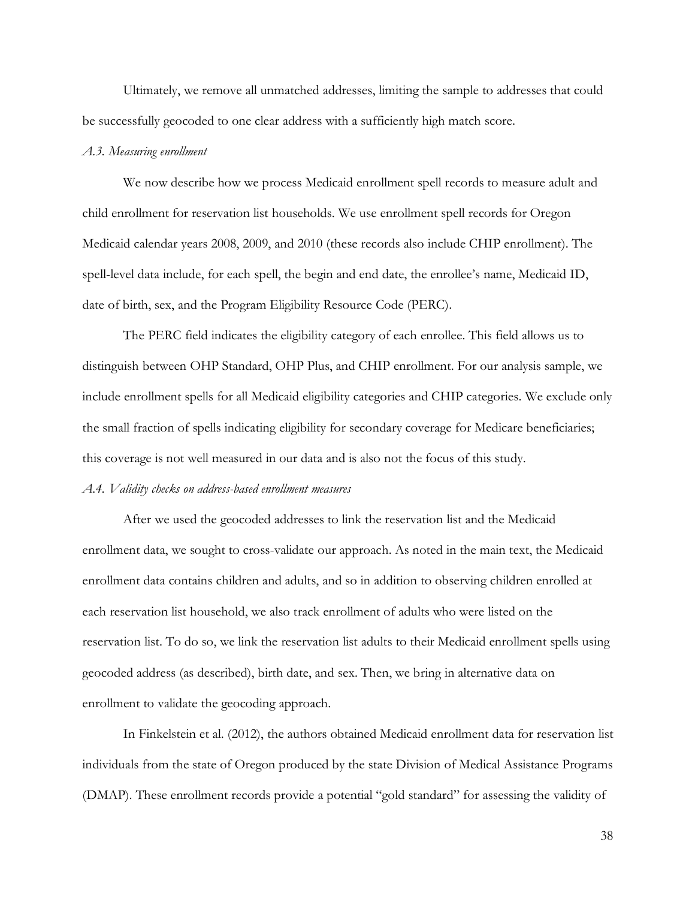Ultimately, we remove all unmatched addresses, limiting the sample to addresses that could be successfully geocoded to one clear address with a sufficiently high match score.

#### *A.3. Measuring enrollment*

We now describe how we process Medicaid enrollment spell records to measure adult and child enrollment for reservation list households. We use enrollment spell records for Oregon Medicaid calendar years 2008, 2009, and 2010 (these records also include CHIP enrollment). The spell-level data include, for each spell, the begin and end date, the enrollee's name, Medicaid ID, date of birth, sex, and the Program Eligibility Resource Code (PERC).

The PERC field indicates the eligibility category of each enrollee. This field allows us to distinguish between OHP Standard, OHP Plus, and CHIP enrollment. For our analysis sample, we include enrollment spells for all Medicaid eligibility categories and CHIP categories. We exclude only the small fraction of spells indicating eligibility for secondary coverage for Medicare beneficiaries; this coverage is not well measured in our data and is also not the focus of this study.

### *A.4. Validity checks on address-based enrollment measures*

After we used the geocoded addresses to link the reservation list and the Medicaid enrollment data, we sought to cross-validate our approach. As noted in the main text, the Medicaid enrollment data contains children and adults, and so in addition to observing children enrolled at each reservation list household, we also track enrollment of adults who were listed on the reservation list. To do so, we link the reservation list adults to their Medicaid enrollment spells using geocoded address (as described), birth date, and sex. Then, we bring in alternative data on enrollment to validate the geocoding approach.

In Finkelstein et al. (2012), the authors obtained Medicaid enrollment data for reservation list individuals from the state of Oregon produced by the state Division of Medical Assistance Programs (DMAP). These enrollment records provide a potential "gold standard" for assessing the validity of

38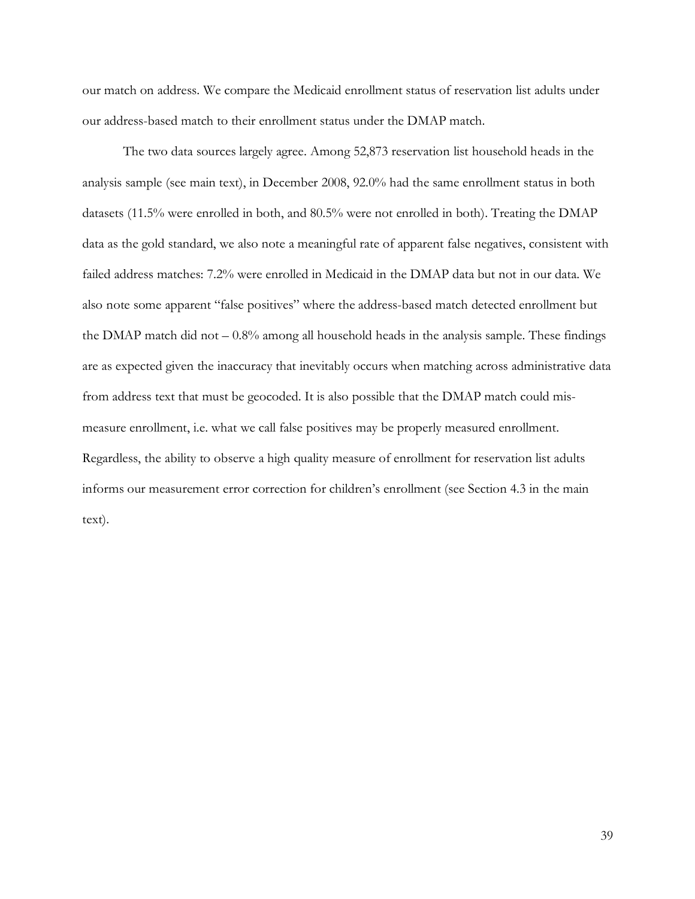our match on address. We compare the Medicaid enrollment status of reservation list adults under our address-based match to their enrollment status under the DMAP match.

The two data sources largely agree. Among 52,873 reservation list household heads in the analysis sample (see main text), in December 2008, 92.0% had the same enrollment status in both datasets (11.5% were enrolled in both, and 80.5% were not enrolled in both). Treating the DMAP data as the gold standard, we also note a meaningful rate of apparent false negatives, consistent with failed address matches: 7.2% were enrolled in Medicaid in the DMAP data but not in our data. We also note some apparent "false positives" where the address-based match detected enrollment but the DMAP match did not  $-0.8\%$  among all household heads in the analysis sample. These findings are as expected given the inaccuracy that inevitably occurs when matching across administrative data from address text that must be geocoded. It is also possible that the DMAP match could mismeasure enrollment, i.e. what we call false positives may be properly measured enrollment. Regardless, the ability to observe a high quality measure of enrollment for reservation list adults informs our measurement error correction for children's enrollment (see Section 4.3 in the main text).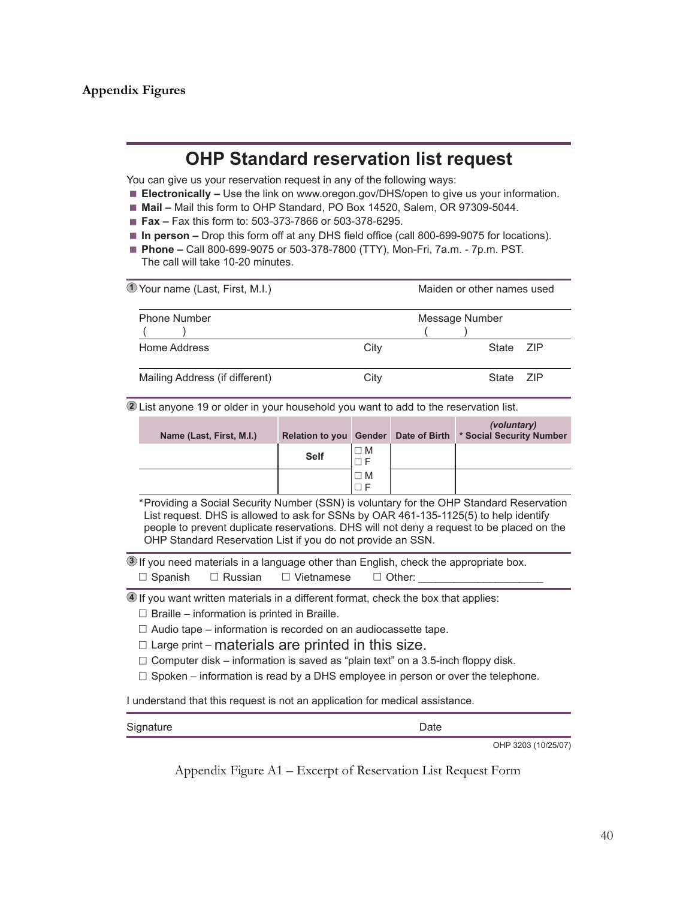## **Appendix Figures**

## **OHP Standard reservation list request**

You can give us your reservation request in any of the following ways:

- **Electronically –** Use the link on www.oregon.gov/DHS/open to give us your information.
- Mail Mail this form to OHP Standard, PO Box 14520, Salem, OR 97309-5044.
- **Fax –** Fax this form to: 503-373-7866 or 503-378-6295.
- In person Drop this form off at any DHS field office (call 800-699-9075 for locations).
- Phone Call 800-699-9075 or 503-378-7800 (TTY), Mon-Fri, 7a.m. 7p.m. PST. The call will take 10-20 minutes.

| 1 Your name (Last, First, M.I.) |      | Maiden or other names used |        |
|---------------------------------|------|----------------------------|--------|
| <b>Phone Number</b>             |      | Message Number             |        |
| Home Address                    | City | State 7IP                  |        |
| Mailing Address (if different)  | City | State                      | - 71 P |

**2** List anyone 19 or older in your household you want to add to the reservation list.

| Name (Last, First, M.I.) |             |          | (voluntary)<br>Relation to you Gender Date of Birth * Social Security Number |
|--------------------------|-------------|----------|------------------------------------------------------------------------------|
|                          | <b>Self</b> | $\Box M$ |                                                                              |
|                          |             | ⊐ M      |                                                                              |

\*Providing a Social Security Number (SSN) is voluntary for the OHP Standard Reservation List request. DHS is allowed to ask for SSNs by OAR 461-135-1125(5) to help identify people to prevent duplicate reservations. DHS will not deny a request to be placed on the OHP Standard Reservation List if you do not provide an SSN.

**3** If you need materials in a language other than English, check the appropriate box.  $\square$  Spanish  $\square$  Russian  $\square$  Vietnamese  $\square$  Other:

**4** If you want written materials in a different format, check the box that applies:

- $\Box$  Braille information is printed in Braille.
- $\Box$  Audio tape information is recorded on an audiocassette tape.
- $\Box$  Large print materials are printed in this size.
- $\Box$  Computer disk information is saved as "plain text" on a 3.5-inch floppy disk.
- $\Box$  Spoken information is read by a DHS employee in person or over the telephone.

I understand that this request is not an application for medical assistance.

| Signature | ¬-⊷<br><i>J</i> ale |  |
|-----------|---------------------|--|
|           |                     |  |

OHP 3203 (10/25/07)

Appendix Figure A1 – Excerpt of Reservation List Request Form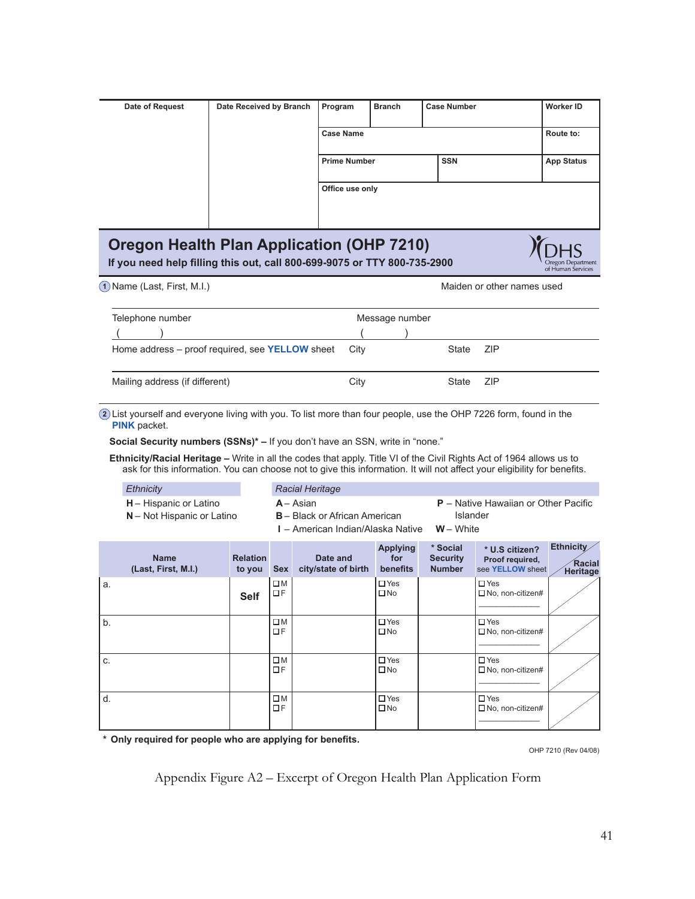| Date of Request | Date Received by Branch | Program             | <b>Branch</b> | <b>Case Number</b> | Worker ID         |
|-----------------|-------------------------|---------------------|---------------|--------------------|-------------------|
|                 |                         | <b>Case Name</b>    |               |                    | Route to:         |
|                 |                         | <b>Prime Number</b> |               | <b>SSN</b>         | <b>App Status</b> |
|                 |                         | Office use only     |               |                    |                   |
|                 |                         |                     |               |                    |                   |

# **Oregon Health Plan Application (OHP 7210)**

**If you need help filling this out, call 800-699-9075 or TTY 800-735-2900**

| 1 Name (Last First MI) |  |  |
|------------------------|--|--|
|                        |  |  |

**1** Name (Last, First, M.I.) **All and Struck and Struck and Maiden or other names used** 

Dregon Departmer<br>of Human Services

| Telephone number                                              |      | Message number |       |            |
|---------------------------------------------------------------|------|----------------|-------|------------|
|                                                               |      |                |       |            |
| Home address $-$ proof required, see <b>YELLOW</b> sheet City |      |                | State | <b>ZIP</b> |
| Mailing address (if different)                                | City |                | State | <b>ZIP</b> |

**2** List yourself and everyone living with you. To list more than four people, use the OHP 7226 form, found in the **PINK** packet.

**Social Security numbers (SSNs)\* –** If you don't have an SSN, write in "none."

**Ethnicity/Racial Heritage –** Write in all the codes that apply. Title VI of the Civil Rights Act of 1964 allows us to ask for this information. You can choose not to give this information. It will not affect your eligibility for benefits.

| Ethnicity                     | Racial Heritage                      |                                             |
|-------------------------------|--------------------------------------|---------------------------------------------|
| <b>H</b> – Hispanic or Latino | A - Asian                            | <b>P</b> – Native Hawaiian or Other Pacific |
| N - Not Hispanic or Latino    | <b>B</b> – Black or African American | Islander                                    |

**I** – American Indian/Alaska Native **W** – White

|    | <b>Name</b><br>(Last, First, M.I.) | <b>Relation</b><br>to you | <b>Sex</b>               | Date and<br>city/state of birth | <b>Applying</b><br>for<br>benefits | * Social<br><b>Security</b><br><b>Number</b> | * U.S citizen?<br>Proof required,<br>see YELLOW sheet | Ethnicity<br><b>Racial</b><br>Heritage |
|----|------------------------------------|---------------------------|--------------------------|---------------------------------|------------------------------------|----------------------------------------------|-------------------------------------------------------|----------------------------------------|
| a. |                                    | <b>Self</b>               | $\square$ M<br>$\Box F$  |                                 | $\Box$ Yes<br>$\square$ No         |                                              | $\Box$ Yes<br>$\Box$ No, non-citizen#                 |                                        |
| b. |                                    |                           | $\square$ M<br>ΠF        |                                 | $\Box$ Yes<br>$\square$ No         |                                              | $\Box$ Yes<br>$\Box$ No, non-citizen#                 |                                        |
| C. |                                    |                           | $\square M$<br><b>OF</b> |                                 | $\Box$ Yes<br>$\square$ No         |                                              | $\Box$ Yes<br>$\Box$ No, non-citizen#                 |                                        |
| d. |                                    |                           | $\square$ M<br>$\Box F$  |                                 | $\Box$ Yes<br>$\square$ No         |                                              | $\Box$ Yes<br>$\Box$ No, non-citizen#                 |                                        |

**\* Only required for people who are applying for benefits.**

OHP 7210 (Rev 04/08)

Appendix Figure A2 – Excerpt of Oregon Health Plan Application Form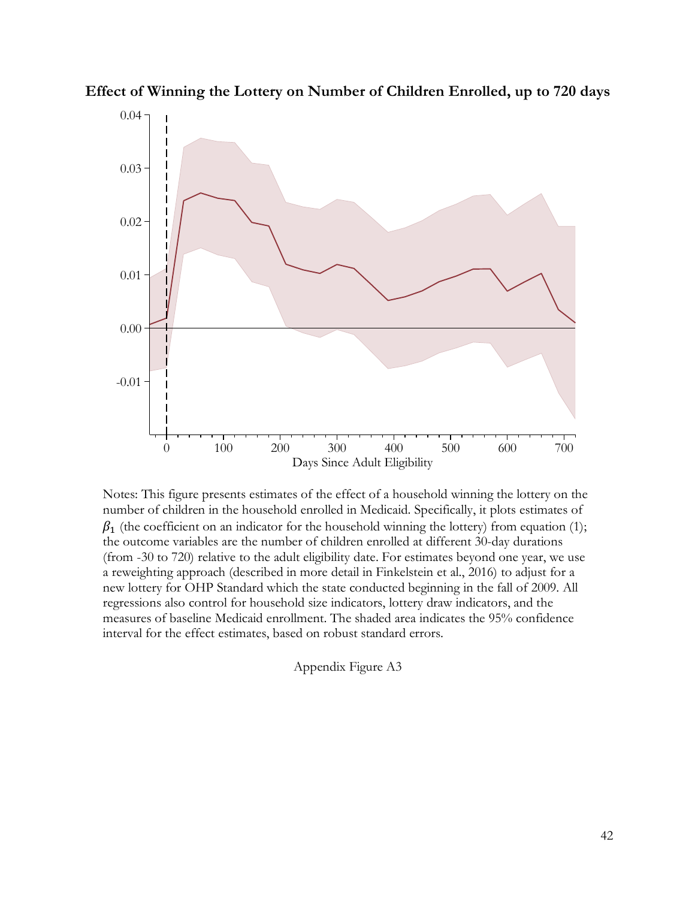

**Effect of Winning the Lottery on Number of Children Enrolled, up to 720 days**

Notes: This figure presents estimates of the effect of a household winning the lottery on the number of children in the household enrolled in Medicaid. Specifically, it plots estimates of  $\beta_1$  (the coefficient on an indicator for the household winning the lottery) from equation (1); the outcome variables are the number of children enrolled at different 30-day durations (from -30 to 720) relative to the adult eligibility date. For estimates beyond one year, we use a reweighting approach (described in more detail in Finkelstein et al., 2016) to adjust for a new lottery for OHP Standard which the state conducted beginning in the fall of 2009. All regressions also control for household size indicators, lottery draw indicators, and the measures of baseline Medicaid enrollment. The shaded area indicates the 95% confidence interval for the effect estimates, based on robust standard errors.

Appendix Figure A3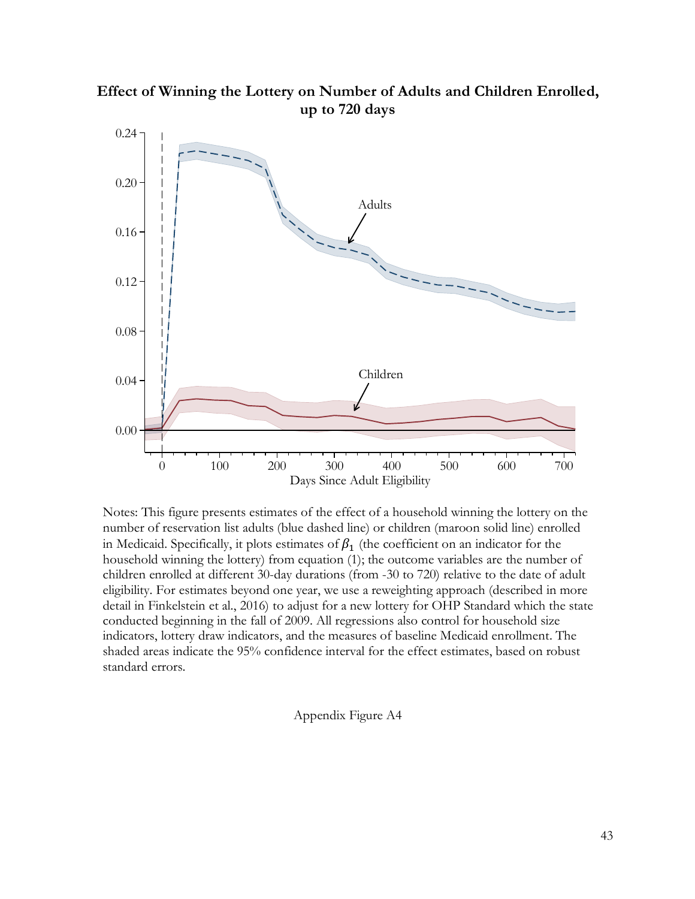

**Effect of Winning the Lottery on Number of Adults and Children Enrolled, up to 720 days**

Notes: This figure presents estimates of the effect of a household winning the lottery on the number of reservation list adults (blue dashed line) or children (maroon solid line) enrolled in Medicaid. Specifically, it plots estimates of  $\beta_1$  (the coefficient on an indicator for the household winning the lottery) from equation (1); the outcome variables are the number of children enrolled at different 30-day durations (from -30 to 720) relative to the date of adult eligibility. For estimates beyond one year, we use a reweighting approach (described in more detail in Finkelstein et al., 2016) to adjust for a new lottery for OHP Standard which the state conducted beginning in the fall of 2009. All regressions also control for household size indicators, lottery draw indicators, and the measures of baseline Medicaid enrollment. The shaded areas indicate the 95% confidence interval for the effect estimates, based on robust standard errors.

Appendix Figure A4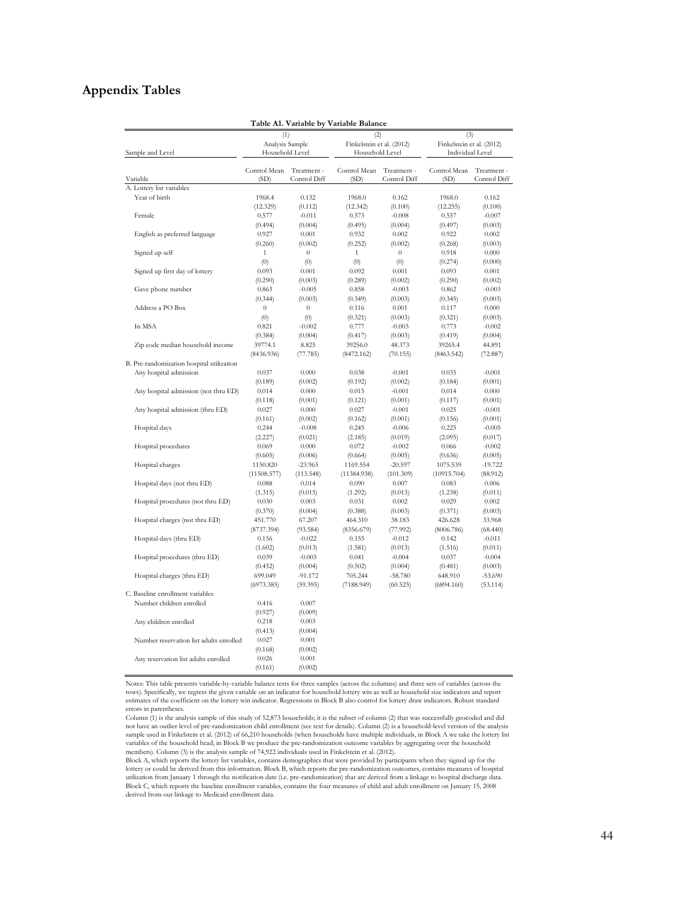## **Appendix Tables**

|                                           |                  |                  | Table A1. Variable by Variable Balance |                  |                           |                  |  |
|-------------------------------------------|------------------|------------------|----------------------------------------|------------------|---------------------------|------------------|--|
|                                           | (1)              |                  | (2)                                    |                  | (3)                       |                  |  |
|                                           | Analysis Sample  |                  | Finkelstein et al. (2012)              |                  | Finkelstein et al. (2012) |                  |  |
| Sample and Level                          | Household Level  |                  | Household Level                        |                  | Individual Level          |                  |  |
|                                           |                  |                  |                                        |                  |                           |                  |  |
|                                           | Control Mean     | Treatment -      | Control Mean                           | Treatment -      | Control Mean              | Treatment -      |  |
| Variable                                  | (SD)             | Control Diff     | (SD)                                   | Control Diff     | (SD)                      | Control Diff     |  |
| A. Lottery list variables                 |                  |                  |                                        |                  |                           |                  |  |
| Year of birth                             | 1968.4           | 0.132            | 1968.0                                 | 0.162            | 1968.0                    | 0.162            |  |
| Female                                    | (12.329)         | (0.112)          | (12.342)                               | (0.100)          | (12.255)                  | (0.100)          |  |
|                                           | 0.577            | $-0.011$         | 0.573                                  | $-0.008$         | 0.557                     | $-0.007$         |  |
| English as preferred language             | (0.494)          | (0.004)          | (0.495)                                | (0.004)          | (0.497)                   | (0.003)          |  |
|                                           | 0.927<br>(0.260) | 0.001<br>(0.002) | 0.932<br>(0.252)                       | 0.002<br>(0.002) | 0.922<br>(0.268)          | 0.002<br>(0.003) |  |
| Signed up self                            | $\mathbf{1}$     | $\boldsymbol{0}$ | $\mathbf{1}$                           | $\boldsymbol{0}$ | 0.918                     | 0.000            |  |
|                                           | (0)              | (0)              | (0)                                    | (0)              |                           | (0.000)          |  |
| Signed up first day of lottery            |                  |                  |                                        |                  | (0.274)                   |                  |  |
|                                           | 0.093            | 0.001            | 0.092                                  | 0.001            | 0.093                     | 0.001            |  |
|                                           | (0.290)          | (0.003)          | (0.289)                                | (0.002)          | (0.290)                   | (0.002)          |  |
| Gave phone number                         | 0.863            | $-0.005$         | 0.858                                  | $-0.003$         | 0.862                     | $-0.003$         |  |
|                                           | (0.344)          | (0.003)          | (0.349)                                | (0.003)          | (0.345)                   | (0.003)          |  |
| Address a PO Box                          | $\boldsymbol{0}$ | $\theta$         | 0.116                                  | 0.001            | 0.117                     | 0.000            |  |
|                                           | (0)              | (0)              | (0.321)                                | (0.003)          | (0.321)                   | (0.003)          |  |
| In MSA                                    | 0.821            | $-0.002$         | 0.777                                  | $-0.003$         | 0.773                     | $-0.002$         |  |
|                                           | (0.384)          | (0.004)          | (0.417)                                | (0.003)          | (0.419)                   | (0.004)          |  |
| Zip code median household income          | 39774.1          | 8.825            | 39256.0                                | 48.373           | 39265.4                   | 44.891           |  |
|                                           | (8436.936)       | (77.785)         | (8472.162)                             | (70.155)         | (8463.542)                | (72.887)         |  |
| B. Pre-randomization hospital utilization |                  |                  |                                        |                  |                           |                  |  |
| Any hospital admission                    | 0.037            | 0.000            | 0.038                                  | $-0.001$         | 0.035                     | $-0.001$         |  |
|                                           | (0.189)          | (0.002)          | (0.192)                                | (0.002)          | (0.184)                   | (0.001)          |  |
| Any hospital admission (not thru ED)      | 0.014            | 0.000            | 0.015                                  | $-0.001$         | 0.014                     | 0.000            |  |
|                                           | (0.118)          | (0.001)          | (0.121)                                | (0.001)          | (0.117)                   | (0.001)          |  |
| Any hospital admission (thru ED)          | 0.027            | 0.000            | 0.027                                  | $-0.001$         | 0.025                     | $-0.001$         |  |
|                                           | (0.161)          | (0.002)          | (0.162)                                | (0.001)          | (0.156)                   | (0.001)          |  |
| Hospital days                             | 0.244            | $-0.008$         | 0.245                                  | $-0.006$         | 0.225                     | $-0.005$         |  |
|                                           | (2.227)          | (0.021)          | (2.185)                                | (0.019)          | (2.095)                   | (0.017)          |  |
| Hospital procedures                       | 0.069            | 0.000            | 0.072                                  | $-0.002$         | 0.066                     | $-0.002$         |  |
|                                           | (0.605)          | (0.006)          | (0.664)                                | (0.005)          | (0.636)                   | (0.005)          |  |
| Hospital charges                          | 1150.820         | $-23.965$        | 1169.554                               | $-20.597$        | 1075.539                  | $-19.722$        |  |
|                                           | (11508.577)      | (113.548)        | (11384.938)                            | (101.309)        | (10915.704)               | (88.912)         |  |
| Hospital days (not thru ED)               | 0.088            | 0.014            | 0.090                                  | 0.007            | 0.083                     | 0.006            |  |
|                                           | (1.315)          | (0.015)          | (1.292)                                | (0.013)          | (1.238)                   | (0.011)          |  |
| Hospital procedures (not thru ED)         | 0.030            | 0.003            | 0.031                                  | 0.002            | 0.029                     | 0.002            |  |
|                                           | (0.370)          | (0.004)          | (0.388)                                | (0.003)          | (0.371)                   | (0.003)          |  |
| Hospital charges (not thru ED)            | 451.770          | 67.207           | 464.310                                | 38.183           | 426.628                   | 33.968           |  |
|                                           | (8737.394)       | (93.584)         | (8356.679)                             | (77.992)         | (8006.786)                | (68.440)         |  |
| Hospital days (thru ED)                   | 0.156            | $-0.022$         | 0.155                                  | $-0.012$         | 0.142                     | $-0.011$         |  |
|                                           | (1.602)          | (0.013)          | (1.581)                                | (0.013)          | (1.516)                   | (0.011)          |  |
| Hospital procedures (thru ED)             | 0.039            | $-0.003$         | 0.041                                  | $-0.004$         | 0.037                     | $-0.004$         |  |
|                                           | (0.452)          | (0.004)          | (0.502)                                | (0.004)          | (0.481)                   | (0.003)          |  |
| Hospital charges (thru ED)                | 699.049          | $-91.172$        | 705.244                                | $-58.780$        | 648.910                   | $-53.690$        |  |
|                                           | (6973.385)       | (59.395)         | (7188.949)                             | (60.525)         | (6894.160)                | (53.114)         |  |
| C. Baseline enrollment variables          |                  |                  |                                        |                  |                           |                  |  |
| Number children enrolled                  | 0.416            | 0.007            |                                        |                  |                           |                  |  |
|                                           | (0.927)          | (0.009)          |                                        |                  |                           |                  |  |
|                                           |                  |                  |                                        |                  |                           |                  |  |
| Any children enrolled                     | 0.218            | 0.003            |                                        |                  |                           |                  |  |
|                                           | (0.413)          | (0.004)          |                                        |                  |                           |                  |  |
| Number reservation list adults enrolled   | 0.027            | 0.001            |                                        |                  |                           |                  |  |
|                                           | (0.168)          | (0.002)          |                                        |                  |                           |                  |  |
| Any reservation list adults enrolled      | 0.026            | 0.001            |                                        |                  |                           |                  |  |
|                                           | (0.161)          | (0.002)          |                                        |                  |                           |                  |  |

Notes: This table presents variable-by-variable balance tests for three samples (across the columns) and three sets of variables (across the rows). Specifically, we regress the given variable on an indicator for household lottery win as well as household size indicators and report estimates of the coefficient on the lottery win indicator. Regressions in Block B also control for lottery draw indicators. Robust standard errors in parentheses.

Column (1) is the analysis sample of this study of 52,873 households; it is the subset of column (2) that was successfully geocoded and did<br>not have an outlier level of pre-randomization child enrollment (see text for deta variables of the household head; in Block B we produce the pre-randomization outcome variables by aggregating over the household members). Column (3) is the analysis sample of 74,922 individuals used in Finkelstein et al. (2012).

Block A, which reports the lottery list variables, contains demographics that were provided by participants when they signed up for the lottery or could be derived from this information. Block B, which reports the pre-randomization outcomes, contains measures of hospital utilization from January 1 through the notification date (i.e. pre-randomization) that are derived from a linkage to hospital discharge data.<br>Block C, which reports the baseline enrollment variables, contains the four meas derived from our linkage to Medicaid enrollment data.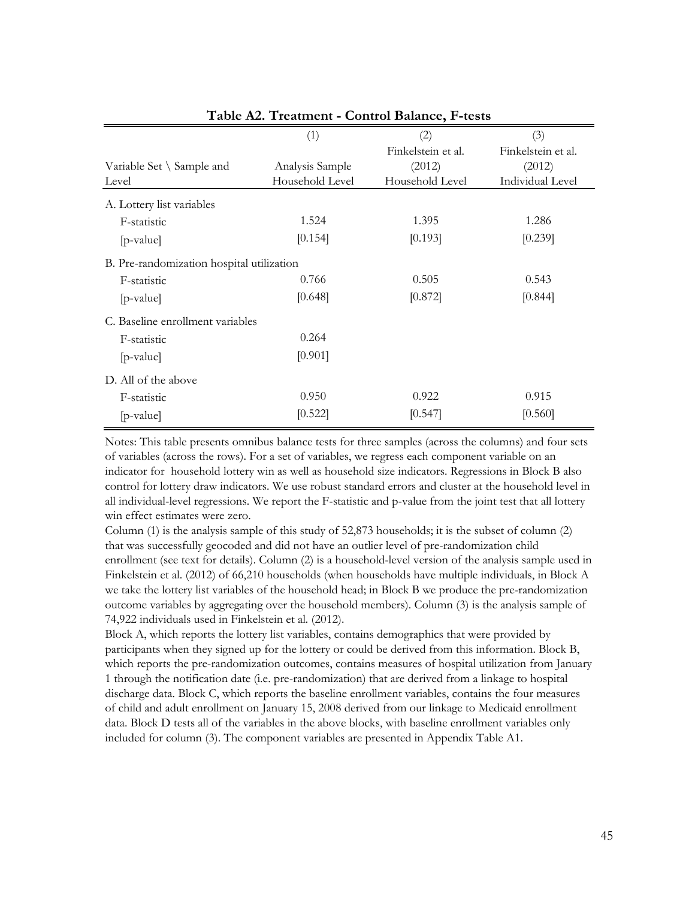|                                           | (1)             | (2)                | (3)                |
|-------------------------------------------|-----------------|--------------------|--------------------|
|                                           |                 | Finkelstein et al. | Finkelstein et al. |
| Variable Set $\setminus$ Sample and       | Analysis Sample | (2012)             | (2012)             |
| Level                                     | Household Level | Household Level    | Individual Level   |
| A. Lottery list variables                 |                 |                    |                    |
| F-statistic                               | 1.524           | 1.395              | 1.286              |
| [p-value]                                 | [0.154]         | [0.193]            | [0.239]            |
| B. Pre-randomization hospital utilization |                 |                    |                    |
| F-statistic                               | 0.766           | 0.505              | 0.543              |
| $[p-value]$                               | [0.648]         | [0.872]            | [0.844]            |
| C. Baseline enrollment variables          |                 |                    |                    |
| F-statistic                               | 0.264           |                    |                    |
| $[p-value]$                               | [0.901]         |                    |                    |
| D. All of the above                       |                 |                    |                    |
| F-statistic                               | 0.950           | 0.922              | 0.915              |
| $[p-value]$                               | [0.522]         | [0.547]            | [0.560]            |

## **Table A2. Treatment - Control Balance, F-tests**

Notes: This table presents omnibus balance tests for three samples (across the columns) and four sets of variables (across the rows). For a set of variables, we regress each component variable on an indicator for household lottery win as well as household size indicators. Regressions in Block B also control for lottery draw indicators. We use robust standard errors and cluster at the household level in all individual-level regressions. We report the F-statistic and p-value from the joint test that all lottery win effect estimates were zero.

Column (1) is the analysis sample of this study of 52,873 households; it is the subset of column (2) that was successfully geocoded and did not have an outlier level of pre-randomization child enrollment (see text for details). Column (2) is a household-level version of the analysis sample used in Finkelstein et al. (2012) of 66,210 households (when households have multiple individuals, in Block A we take the lottery list variables of the household head; in Block B we produce the pre-randomization outcome variables by aggregating over the household members). Column (3) is the analysis sample of 74,922 individuals used in Finkelstein et al. (2012).

Block A, which reports the lottery list variables, contains demographics that were provided by participants when they signed up for the lottery or could be derived from this information. Block B, which reports the pre-randomization outcomes, contains measures of hospital utilization from January 1 through the notification date (i.e. pre-randomization) that are derived from a linkage to hospital discharge data. Block C, which reports the baseline enrollment variables, contains the four measures of child and adult enrollment on January 15, 2008 derived from our linkage to Medicaid enrollment data. Block D tests all of the variables in the above blocks, with baseline enrollment variables only included for column (3). The component variables are presented in Appendix Table A1.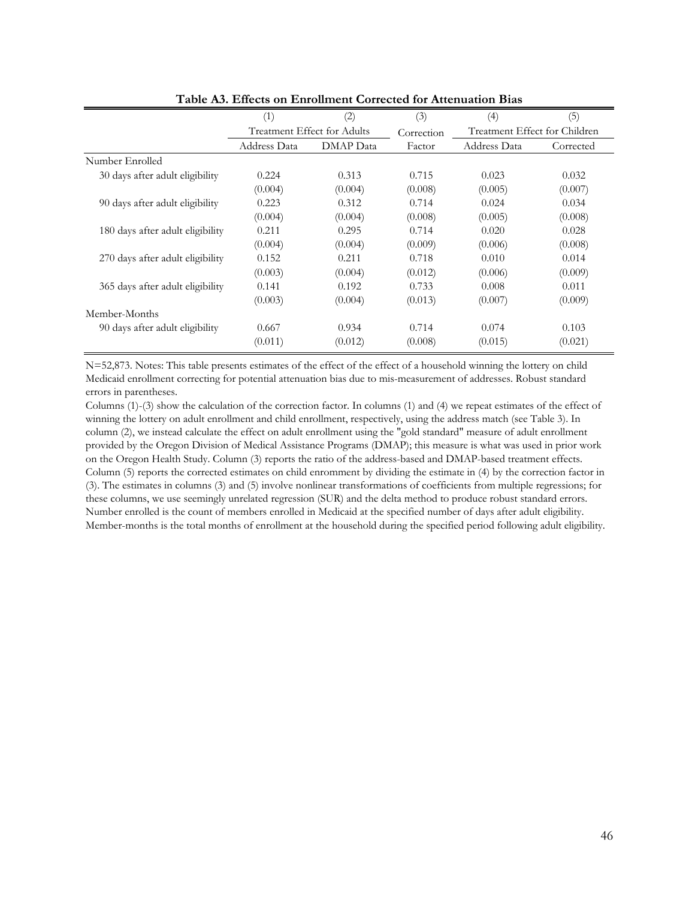|                                  | (1)                         | (2)       | (3)        | (4)                           | (5)       |
|----------------------------------|-----------------------------|-----------|------------|-------------------------------|-----------|
|                                  | Treatment Effect for Adults |           | Correction | Treatment Effect for Children |           |
|                                  | Address Data                | DMAP Data | Factor     | Address Data                  | Corrected |
| Number Enrolled                  |                             |           |            |                               |           |
| 30 days after adult eligibility  | 0.224                       | 0.313     | 0.715      | 0.023                         | 0.032     |
|                                  | (0.004)                     | (0.004)   | (0.008)    | (0.005)                       | (0.007)   |
| 90 days after adult eligibility  | 0.223                       | 0.312     | 0.714      | 0.024                         | 0.034     |
|                                  | (0.004)                     | (0.004)   | (0.008)    | (0.005)                       | (0.008)   |
| 180 days after adult eligibility | 0.211                       | 0.295     | 0.714      | 0.020                         | 0.028     |
|                                  | (0.004)                     | (0.004)   | (0.009)    | (0.006)                       | (0.008)   |
| 270 days after adult eligibility | 0.152                       | 0.211     | 0.718      | 0.010                         | 0.014     |
|                                  | (0.003)                     | (0.004)   | (0.012)    | (0.006)                       | (0.009)   |
| 365 days after adult eligibility | 0.141                       | 0.192     | 0.733      | 0.008                         | 0.011     |
|                                  | (0.003)                     | (0.004)   | (0.013)    | (0.007)                       | (0.009)   |
| Member-Months                    |                             |           |            |                               |           |
| 90 days after adult eligibility  | 0.667                       | 0.934     | 0.714      | 0.074                         | 0.103     |
|                                  | (0.011)                     | (0.012)   | (0.008)    | (0.015)                       | (0.021)   |

**Table A3. Effects on Enrollment Corrected for Attenuation Bias**

N=52,873. Notes: This table presents estimates of the effect of the effect of a household winning the lottery on child Medicaid enrollment correcting for potential attenuation bias due to mis-measurement of addresses. Robust standard errors in parentheses.

Columns (1)-(3) show the calculation of the correction factor. In columns (1) and (4) we repeat estimates of the effect of winning the lottery on adult enrollment and child enrollment, respectively, using the address match (see Table 3). In column (2), we instead calculate the effect on adult enrollment using the "gold standard" measure of adult enrollment provided by the Oregon Division of Medical Assistance Programs (DMAP); this measure is what was used in prior work on the Oregon Health Study. Column (3) reports the ratio of the address-based and DMAP-based treatment effects. Column (5) reports the corrected estimates on child enromment by dividing the estimate in (4) by the correction factor in (3). The estimates in columns (3) and (5) involve nonlinear transformations of coefficients from multiple regressions; for these columns, we use seemingly unrelated regression (SUR) and the delta method to produce robust standard errors. Number enrolled is the count of members enrolled in Medicaid at the specified number of days after adult eligibility. Member-months is the total months of enrollment at the household during the specified period following adult eligibility.